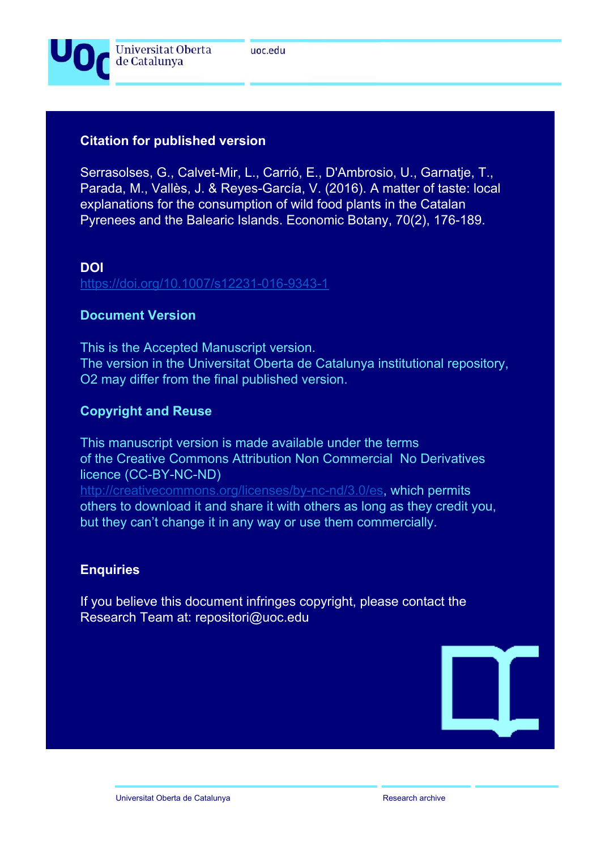

# **Citation for published version**

Serrasolses, G., Calvet-Mir, L., Carrió, E., D'Ambrosio, U., Garnatje, T., Parada, M., Vallès, J. & Reyes-García, V. (2016). A matter of taste: local explanations for the consumption of wild food plants in the Catalan Pyrenees and the Balearic Islands. Economic Botany, 70(2), 176-189.

## **DOI**

<https://doi.org/10.1007/s12231-016-9343-1>

# **Document Version**

This is the Accepted Manuscript version. The version in the Universitat Oberta de Catalunya institutional repository, O2 may differ from the final published version.

# **Copyright and Reuse**

This manuscript version is made available under the terms of the Creative Commons Attribution Non Commercial No Derivatives licence (CC-BY-NC-ND)

[http://creativecommons.org/licenses/by-nc-nd/3.0/es,](http://creativecommons.org/licenses/by-nc-nd/3.0/es) which permits others to download it and share it with others as long as they credit you, but they can't change it in any way or use them commercially.

# **Enquiries**

If you believe this document infringes copyright, please contact the Research Team at: repositori@uoc.edu

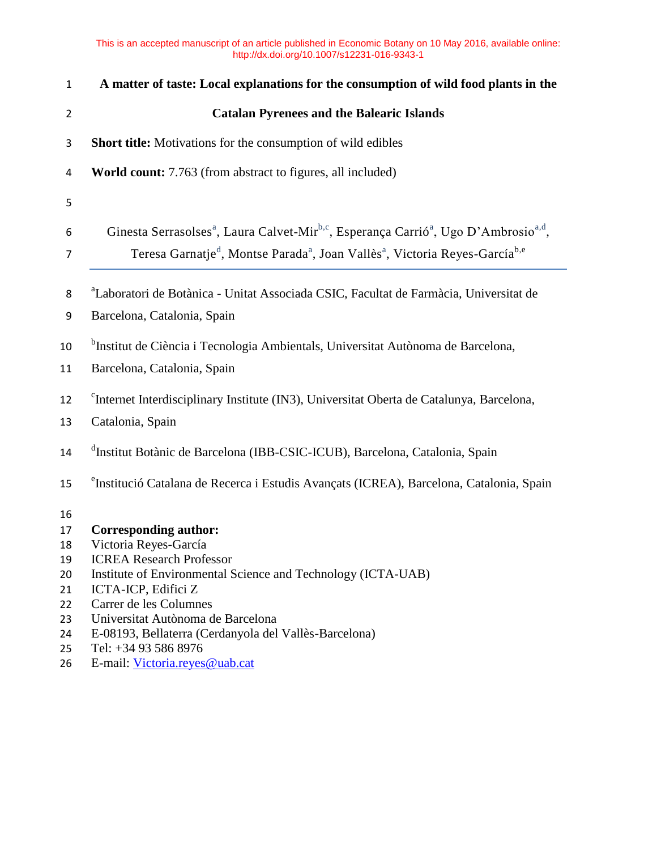| $\mathbf{1}$   | A matter of taste: Local explanations for the consumption of wild food plants in the                                                                                                                                                                                |
|----------------|---------------------------------------------------------------------------------------------------------------------------------------------------------------------------------------------------------------------------------------------------------------------|
| $\overline{2}$ | <b>Catalan Pyrenees and the Balearic Islands</b>                                                                                                                                                                                                                    |
| 3              | <b>Short title:</b> Motivations for the consumption of wild edibles                                                                                                                                                                                                 |
| 4              | <b>World count:</b> 7.763 (from abstract to figures, all included)                                                                                                                                                                                                  |
| 5              |                                                                                                                                                                                                                                                                     |
| 6<br>7         | Ginesta Serrasolses <sup>a</sup> , Laura Calvet-Mir <sup>b,c</sup> , Esperança Carrió <sup>a</sup> , Ugo D'Ambrosio <sup>a,d</sup> ,<br>Teresa Garnatje <sup>d</sup> , Montse Parada <sup>a</sup> , Joan Vallès <sup>a</sup> , Victoria Reyes-García <sup>b,e</sup> |
| 8<br>9         | <sup>a</sup> Laboratori de Botànica - Unitat Associada CSIC, Facultat de Farmàcia, Universitat de<br>Barcelona, Catalonia, Spain                                                                                                                                    |
| 10             | <sup>b</sup> Institut de Ciència i Tecnologia Ambientals, Universitat Autònoma de Barcelona,                                                                                                                                                                        |
| 11             | Barcelona, Catalonia, Spain                                                                                                                                                                                                                                         |
| 12<br>13       | <sup>c</sup> Internet Interdisciplinary Institute (IN3), Universitat Oberta de Catalunya, Barcelona,<br>Catalonia, Spain                                                                                                                                            |
| 14             | <sup>d</sup> Institut Botànic de Barcelona (IBB-CSIC-ICUB), Barcelona, Catalonia, Spain                                                                                                                                                                             |
| 15             | <sup>e</sup> Institució Catalana de Recerca i Estudis Avançats (ICREA), Barcelona, Catalonia, Spain                                                                                                                                                                 |
| 16             |                                                                                                                                                                                                                                                                     |
| 17             | <b>Corresponding author:</b>                                                                                                                                                                                                                                        |
| 18             | Victoria Reyes-García<br><b>ICREA Research Professor</b>                                                                                                                                                                                                            |
| 19<br>20       | Institute of Environmental Science and Technology (ICTA-UAB)                                                                                                                                                                                                        |
| 21             | ICTA-ICP, Edifici Z                                                                                                                                                                                                                                                 |
| 22             | Carrer de les Columnes                                                                                                                                                                                                                                              |
| 23             | Universitat Autònoma de Barcelona                                                                                                                                                                                                                                   |
| 24             | E-08193, Bellaterra (Cerdanyola del Vallès-Barcelona)                                                                                                                                                                                                               |
| 25             | Tel: +34 93 586 8976                                                                                                                                                                                                                                                |
| 26             | E-mail: Victoria.reyes@uab.cat                                                                                                                                                                                                                                      |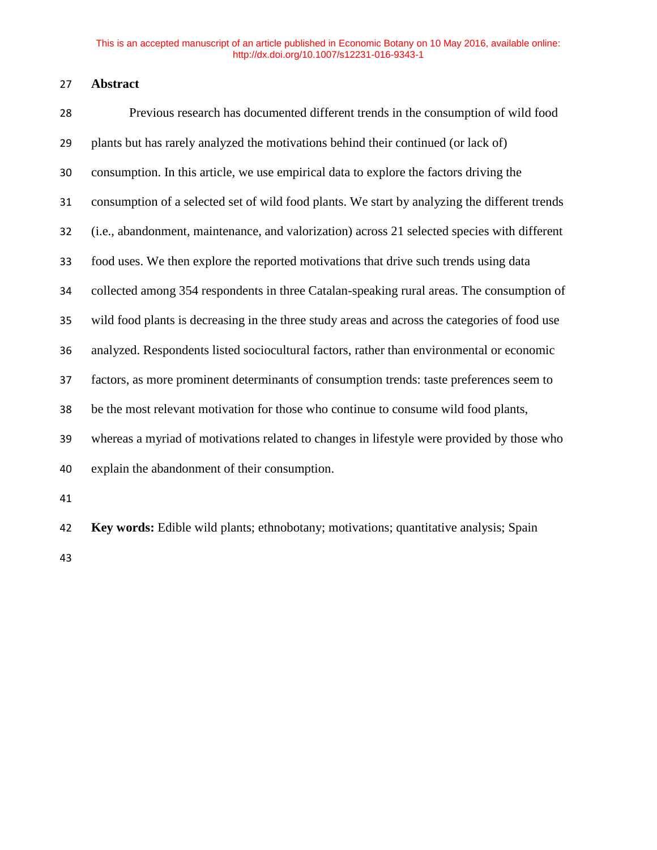# **Abstract**

| 28 | Previous research has documented different trends in the consumption of wild food             |
|----|-----------------------------------------------------------------------------------------------|
| 29 | plants but has rarely analyzed the motivations behind their continued (or lack of)            |
| 30 | consumption. In this article, we use empirical data to explore the factors driving the        |
| 31 | consumption of a selected set of wild food plants. We start by analyzing the different trends |
| 32 | (i.e., abandonment, maintenance, and valorization) across 21 selected species with different  |
| 33 | food uses. We then explore the reported motivations that drive such trends using data         |
| 34 | collected among 354 respondents in three Catalan-speaking rural areas. The consumption of     |
| 35 | wild food plants is decreasing in the three study areas and across the categories of food use |
| 36 | analyzed. Respondents listed sociocultural factors, rather than environmental or economic     |
| 37 | factors, as more prominent determinants of consumption trends: taste preferences seem to      |
| 38 | be the most relevant motivation for those who continue to consume wild food plants,           |
| 39 | whereas a myriad of motivations related to changes in lifestyle were provided by those who    |
| 40 | explain the abandonment of their consumption.                                                 |
| 41 |                                                                                               |
| 42 | Key words: Edible wild plants; ethnobotany; motivations; quantitative analysis; Spain         |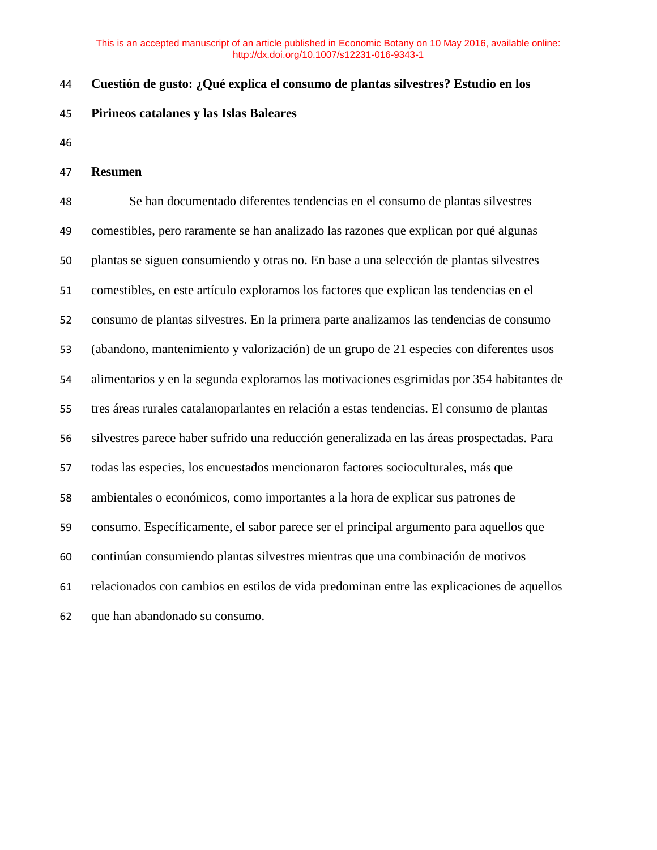## **Cuestión de gusto: ¿Qué explica el consumo de plantas silvestres? Estudio en los**

- **Pirineos catalanes y las Islas Baleares**
- 

### **Resumen**

 Se han documentado diferentes tendencias en el consumo de plantas silvestres comestibles, pero raramente se han analizado las razones que explican por qué algunas plantas se siguen consumiendo y otras no. En base a una selección de plantas silvestres comestibles, en este artículo exploramos los factores que explican las tendencias en el consumo de plantas silvestres. En la primera parte analizamos las tendencias de consumo (abandono, mantenimiento y valorización) de un grupo de 21 especies con diferentes usos alimentarios y en la segunda exploramos las motivaciones esgrimidas por 354 habitantes de tres áreas rurales catalanoparlantes en relación a estas tendencias. El consumo de plantas silvestres parece haber sufrido una reducción generalizada en las áreas prospectadas. Para todas las especies, los encuestados mencionaron factores socioculturales, más que ambientales o económicos, como importantes a la hora de explicar sus patrones de consumo. Específicamente, el sabor parece ser el principal argumento para aquellos que continúan consumiendo plantas silvestres mientras que una combinación de motivos relacionados con cambios en estilos de vida predominan entre las explicaciones de aquellos que han abandonado su consumo.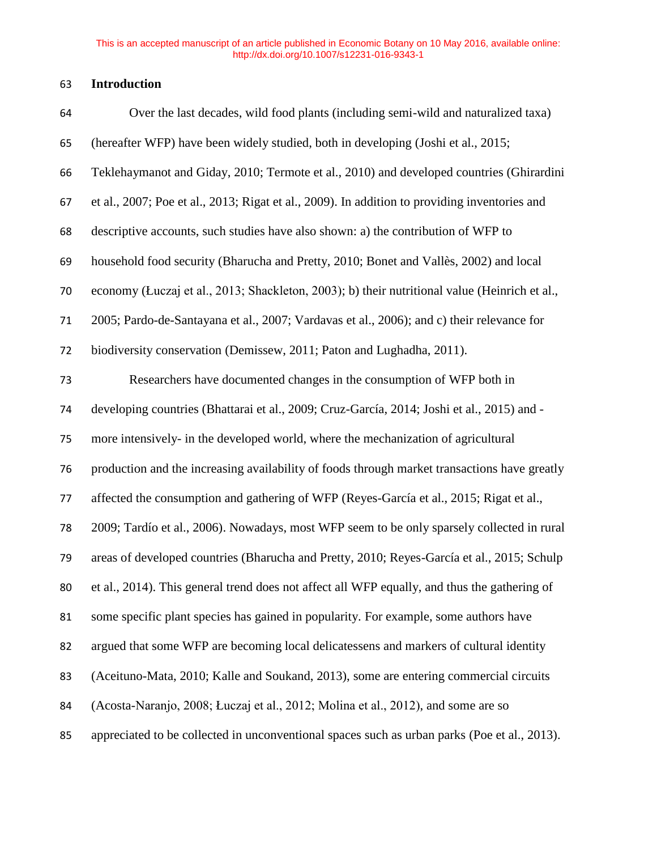## **Introduction**

| 64 | Over the last decades, wild food plants (including semi-wild and naturalized taxa)            |
|----|-----------------------------------------------------------------------------------------------|
| 65 | (hereafter WFP) have been widely studied, both in developing (Joshi et al., 2015;             |
| 66 | Teklehaymanot and Giday, 2010; Termote et al., 2010) and developed countries (Ghirardini      |
| 67 | et al., 2007; Poe et al., 2013; Rigat et al., 2009). In addition to providing inventories and |
| 68 | descriptive accounts, such studies have also shown: a) the contribution of WFP to             |
| 69 | household food security (Bharucha and Pretty, 2010; Bonet and Vallès, 2002) and local         |
| 70 | economy (Łuczaj et al., 2013; Shackleton, 2003); b) their nutritional value (Heinrich et al., |
| 71 | 2005; Pardo-de-Santayana et al., 2007; Vardavas et al., 2006); and c) their relevance for     |
| 72 | biodiversity conservation (Demissew, 2011; Paton and Lughadha, 2011).                         |
| 73 | Researchers have documented changes in the consumption of WFP both in                         |
| 74 | developing countries (Bhattarai et al., 2009; Cruz-García, 2014; Joshi et al., 2015) and -    |
| 75 | more intensively- in the developed world, where the mechanization of agricultural             |
| 76 | production and the increasing availability of foods through market transactions have greatly  |
| 77 | affected the consumption and gathering of WFP (Reyes-García et al., 2015; Rigat et al.,       |
| 78 | 2009; Tardío et al., 2006). Nowadays, most WFP seem to be only sparsely collected in rural    |
| 79 | areas of developed countries (Bharucha and Pretty, 2010; Reyes-García et al., 2015; Schulp    |
| 80 | et al., 2014). This general trend does not affect all WFP equally, and thus the gathering of  |
| 81 | some specific plant species has gained in popularity. For example, some authors have          |
| 82 | argued that some WFP are becoming local delicatessens and markers of cultural identity        |
| 83 | (Aceituno-Mata, 2010; Kalle and Soukand, 2013), some are entering commercial circuits         |
| 84 | (Acosta-Naranjo, 2008; Łuczaj et al., 2012; Molina et al., 2012), and some are so             |
| 85 | appreciated to be collected in unconventional spaces such as urban parks (Poe et al., 2013).  |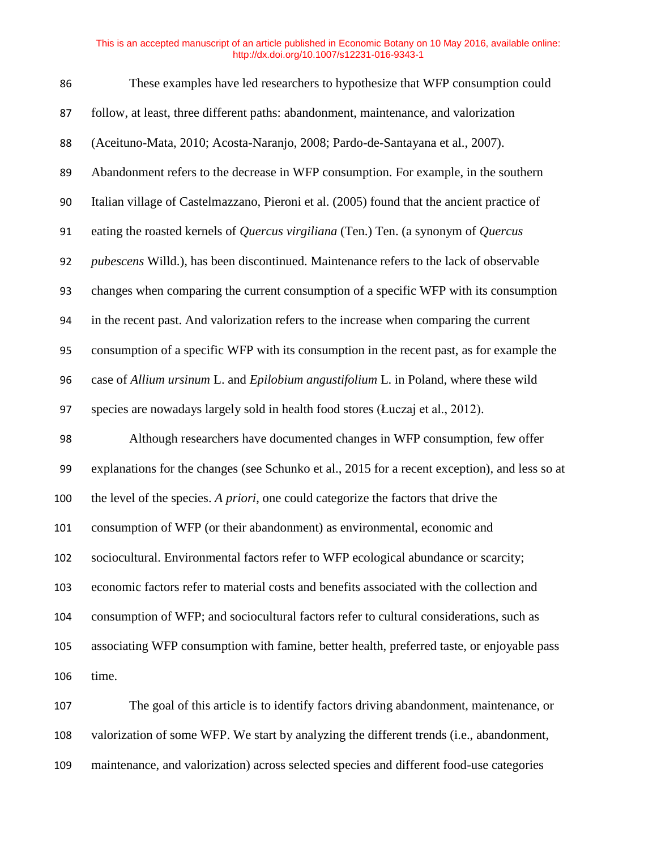| 86  | These examples have led researchers to hypothesize that WFP consumption could                  |
|-----|------------------------------------------------------------------------------------------------|
| 87  | follow, at least, three different paths: abandonment, maintenance, and valorization            |
| 88  | (Aceituno-Mata, 2010; Acosta-Naranjo, 2008; Pardo-de-Santayana et al., 2007).                  |
| 89  | Abandonment refers to the decrease in WFP consumption. For example, in the southern            |
| 90  | Italian village of Castelmazzano, Pieroni et al. (2005) found that the ancient practice of     |
| 91  | eating the roasted kernels of Quercus virgiliana (Ten.) Ten. (a synonym of Quercus             |
| 92  | pubescens Willd.), has been discontinued. Maintenance refers to the lack of observable         |
| 93  | changes when comparing the current consumption of a specific WFP with its consumption          |
| 94  | in the recent past. And valorization refers to the increase when comparing the current         |
| 95  | consumption of a specific WFP with its consumption in the recent past, as for example the      |
| 96  | case of Allium ursinum L. and Epilobium angustifolium L. in Poland, where these wild           |
| 97  | species are nowadays largely sold in health food stores (Łuczaj et al., 2012).                 |
| 98  | Although researchers have documented changes in WFP consumption, few offer                     |
| 99  | explanations for the changes (see Schunko et al., 2015 for a recent exception), and less so at |
| 100 | the level of the species. A priori, one could categorize the factors that drive the            |
| 101 | consumption of WFP (or their abandonment) as environmental, economic and                       |
| 102 | sociocultural. Environmental factors refer to WFP ecological abundance or scarcity;            |
| 103 | economic factors refer to material costs and benefits associated with the collection and       |
| 104 | consumption of WFP; and sociocultural factors refer to cultural considerations, such as        |
| 105 | associating WFP consumption with famine, better health, preferred taste, or enjoyable pass     |
| 106 | time.                                                                                          |
| 107 | The goal of this article is to identify factors driving abandonment, maintenance, or           |
| 108 | valorization of some WFP. We start by analyzing the different trends (i.e., abandonment,       |

maintenance, and valorization) across selected species and different food-use categories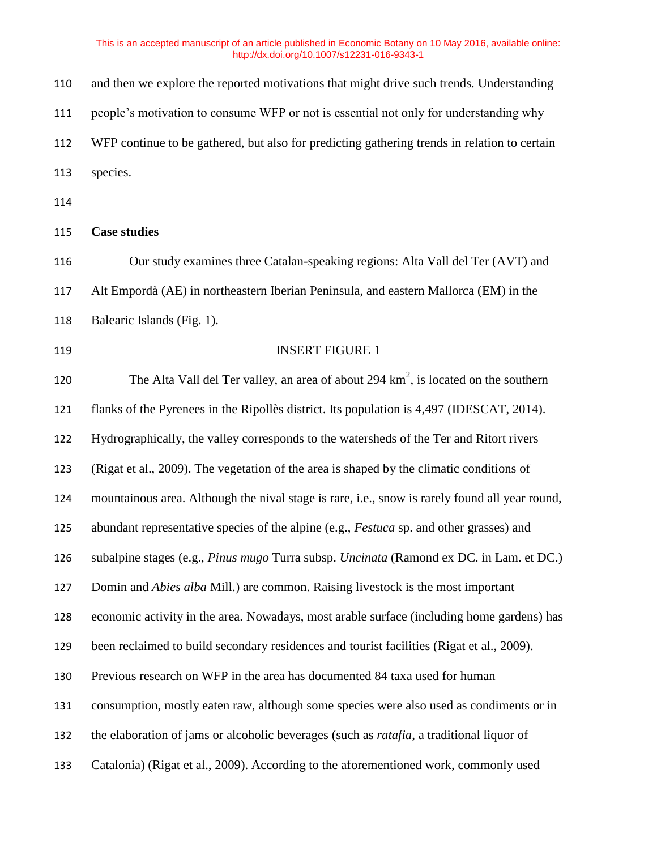| 110 | and then we explore the reported motivations that might drive such trends. Understanding         |
|-----|--------------------------------------------------------------------------------------------------|
| 111 | people's motivation to consume WFP or not is essential not only for understanding why            |
| 112 | WFP continue to be gathered, but also for predicting gathering trends in relation to certain     |
| 113 | species.                                                                                         |
| 114 |                                                                                                  |
| 115 | <b>Case studies</b>                                                                              |
| 116 | Our study examines three Catalan-speaking regions: Alta Vall del Ter (AVT) and                   |
| 117 | Alt Empordà (AE) in northeastern Iberian Peninsula, and eastern Mallorca (EM) in the             |
| 118 | Balearic Islands (Fig. 1).                                                                       |
| 119 | <b>INSERT FIGURE 1</b>                                                                           |
| 120 | The Alta Vall del Ter valley, an area of about 294 $\text{km}^2$ , is located on the southern    |
| 121 | flanks of the Pyrenees in the Ripollès district. Its population is 4,497 (IDESCAT, 2014).        |
| 122 | Hydrographically, the valley corresponds to the watersheds of the Ter and Ritort rivers          |
| 123 | (Rigat et al., 2009). The vegetation of the area is shaped by the climatic conditions of         |
| 124 | mountainous area. Although the nival stage is rare, i.e., snow is rarely found all year round,   |
| 125 | abundant representative species of the alpine (e.g., Festuca sp. and other grasses) and          |
| 126 | subalpine stages (e.g., Pinus mugo Turra subsp. Uncinata (Ramond ex DC. in Lam. et DC.)          |
| 127 | Domin and Abies alba Mill.) are common. Raising livestock is the most important                  |
| 128 | economic activity in the area. Nowadays, most arable surface (including home gardens) has        |
| 129 | been reclaimed to build secondary residences and tourist facilities (Rigat et al., 2009).        |
| 130 | Previous research on WFP in the area has documented 84 taxa used for human                       |
| 131 | consumption, mostly eaten raw, although some species were also used as condiments or in          |
| 132 | the elaboration of jams or alcoholic beverages (such as <i>ratafia</i> , a traditional liquor of |
| 133 | Catalonia) (Rigat et al., 2009). According to the aforementioned work, commonly used             |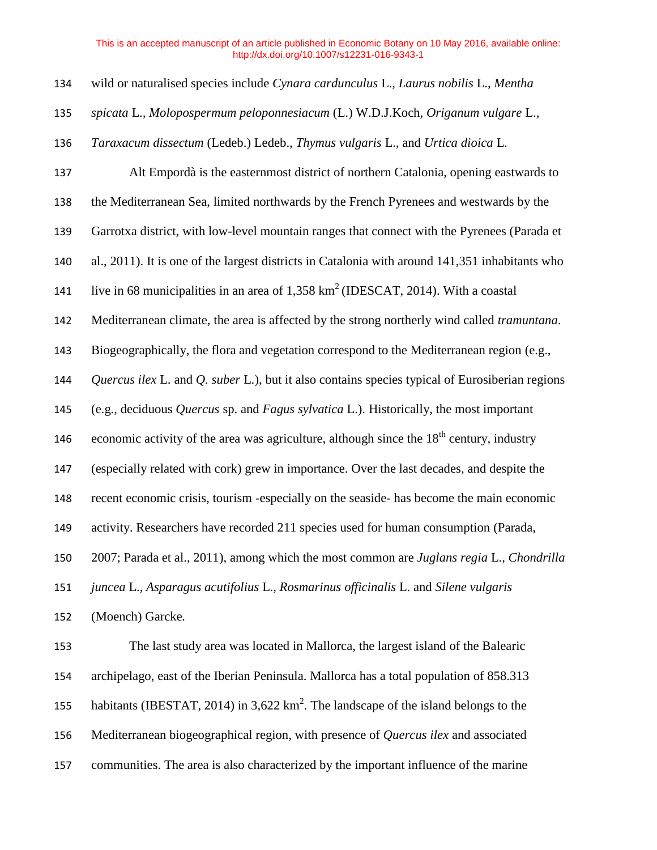| 134 | wild or naturalised species include Cynara cardunculus L., Laurus nobilis L., Mentha                 |
|-----|------------------------------------------------------------------------------------------------------|
| 135 | spicata L., Molopospermum peloponnesiacum (L.) W.D.J.Koch, Origanum vulgare L.,                      |
| 136 | Taraxacum dissectum (Ledeb.) Ledeb., Thymus vulgaris L., and Urtica dioica L.                        |
| 137 | Alt Empordà is the easternmost district of northern Catalonia, opening eastwards to                  |
| 138 | the Mediterranean Sea, limited northwards by the French Pyrenees and westwards by the                |
| 139 | Garrotxa district, with low-level mountain ranges that connect with the Pyrenees (Parada et          |
| 140 | al., 2011). It is one of the largest districts in Catalonia with around 141,351 inhabitants who      |
| 141 | live in 68 municipalities in an area of $1,358 \text{ km}^2$ (IDESCAT, 2014). With a coastal         |
| 142 | Mediterranean climate, the area is affected by the strong northerly wind called tramuntana.          |
| 143 | Biogeographically, the flora and vegetation correspond to the Mediterranean region (e.g.,            |
| 144 | Quercus ilex L. and Q. suber L.), but it also contains species typical of Eurosiberian regions       |
| 145 | (e.g., deciduous Quercus sp. and Fagus sylvatica L.). Historically, the most important               |
| 146 | economic activity of the area was agriculture, although since the 18 <sup>th</sup> century, industry |
| 147 | (especially related with cork) grew in importance. Over the last decades, and despite the            |
| 148 | recent economic crisis, tourism -especially on the seaside- has become the main economic             |
| 149 | activity. Researchers have recorded 211 species used for human consumption (Parada,                  |
| 150 | 2007; Parada et al., 2011), among which the most common are Juglans regia L., Chondrilla             |
| 151 | juncea L., Asparagus acutifolius L., Rosmarinus officinalis L. and Silene vulgaris                   |
| 152 | (Moench) Garcke.                                                                                     |
| 153 | The last study area was located in Mallorca, the largest island of the Balearic                      |
| 154 | archipelago, east of the Iberian Peninsula. Mallorca has a total population of 858.313               |
| 155 | habitants (IBESTAT, 2014) in 3,622 $km^2$ . The landscape of the island belongs to the               |
| 156 | Mediterranean biogeographical region, with presence of Quercus ilex and associated                   |
| 157 | communities. The area is also characterized by the important influence of the marine                 |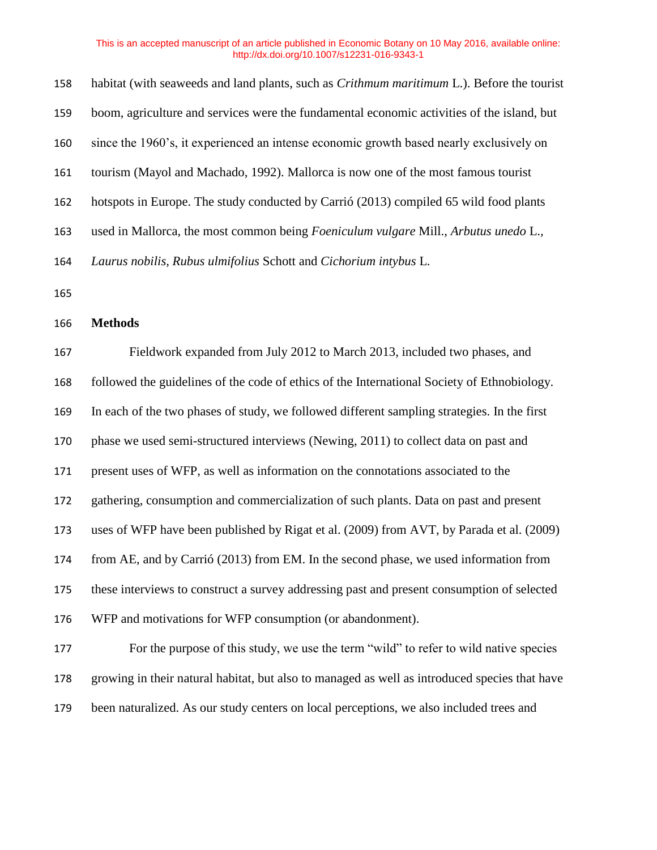| 158 | habitat (with seaweeds and land plants, such as <i>Crithmum maritimum</i> L.). Before the tourist |
|-----|---------------------------------------------------------------------------------------------------|
| 159 | boom, agriculture and services were the fundamental economic activities of the island, but        |
| 160 | since the 1960's, it experienced an intense economic growth based nearly exclusively on           |
| 161 | tourism (Mayol and Machado, 1992). Mallorca is now one of the most famous tourist                 |
| 162 | hotspots in Europe. The study conducted by Carrió (2013) compiled 65 wild food plants             |
| 163 | used in Mallorca, the most common being Foeniculum vulgare Mill., Arbutus unedo L.,               |
| 164 | Laurus nobilis, Rubus ulmifolius Schott and Cichorium intybus L.                                  |
| 165 |                                                                                                   |
| 166 | <b>Methods</b>                                                                                    |
| 167 | Fieldwork expanded from July 2012 to March 2013, included two phases, and                         |
| 168 | followed the guidelines of the code of ethics of the International Society of Ethnobiology.       |
| 169 | In each of the two phases of study, we followed different sampling strategies. In the first       |
| 170 | phase we used semi-structured interviews (Newing, 2011) to collect data on past and               |
| 171 | present uses of WFP, as well as information on the connotations associated to the                 |
| 172 | gathering, consumption and commercialization of such plants. Data on past and present             |
| 173 | uses of WFP have been published by Rigat et al. (2009) from AVT, by Parada et al. (2009)          |
| 174 | from AE, and by Carrió (2013) from EM. In the second phase, we used information from              |
| 175 | these interviews to construct a survey addressing past and present consumption of selected        |
| 176 | WFP and motivations for WFP consumption (or abandonment).                                         |
| 177 | For the purpose of this study, we use the term "wild" to refer to wild native species             |
| 178 | growing in their natural habitat, but also to managed as well as introduced species that have     |
|     |                                                                                                   |

been naturalized. As our study centers on local perceptions, we also included trees and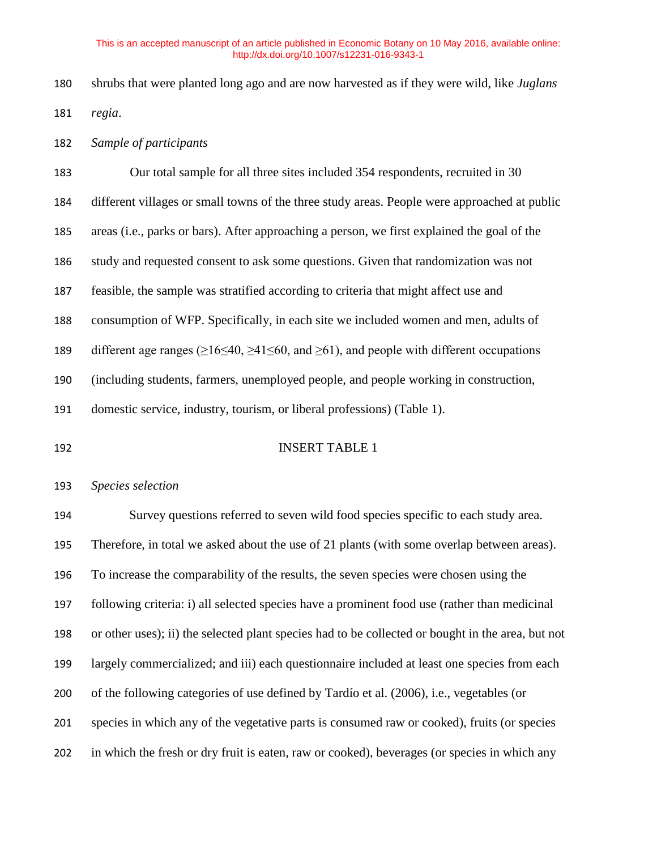- shrubs that were planted long ago and are now harvested as if they were wild, like *Juglans regia*.
- *Sample of participants*

| 183 | Our total sample for all three sites included 354 respondents, recruited in 30                                        |
|-----|-----------------------------------------------------------------------------------------------------------------------|
| 184 | different villages or small towns of the three study areas. People were approached at public                          |
| 185 | areas (i.e., parks or bars). After approaching a person, we first explained the goal of the                           |
| 186 | study and requested consent to ask some questions. Given that randomization was not                                   |
| 187 | feasible, the sample was stratified according to criteria that might affect use and                                   |
| 188 | consumption of WFP. Specifically, in each site we included women and men, adults of                                   |
| 189 | different age ranges ( $\geq 16 \leq 40$ , $\geq 41 \leq 60$ , and $\geq 61$ ), and people with different occupations |
| 190 | (including students, farmers, unemployed people, and people working in construction,                                  |
| 191 | domestic service, industry, tourism, or liberal professions) (Table 1).                                               |
|     |                                                                                                                       |

#### INSERT TABLE 1

### *Species selection*

 Survey questions referred to seven wild food species specific to each study area. Therefore, in total we asked about the use of 21 plants (with some overlap between areas). To increase the comparability of the results, the seven species were chosen using the following criteria: i) all selected species have a prominent food use (rather than medicinal or other uses); ii) the selected plant species had to be collected or bought in the area, but not largely commercialized; and iii) each questionnaire included at least one species from each of the following categories of use defined by Tardío et al. (2006), i.e., vegetables (or species in which any of the vegetative parts is consumed raw or cooked), fruits (or species in which the fresh or dry fruit is eaten, raw or cooked), beverages (or species in which any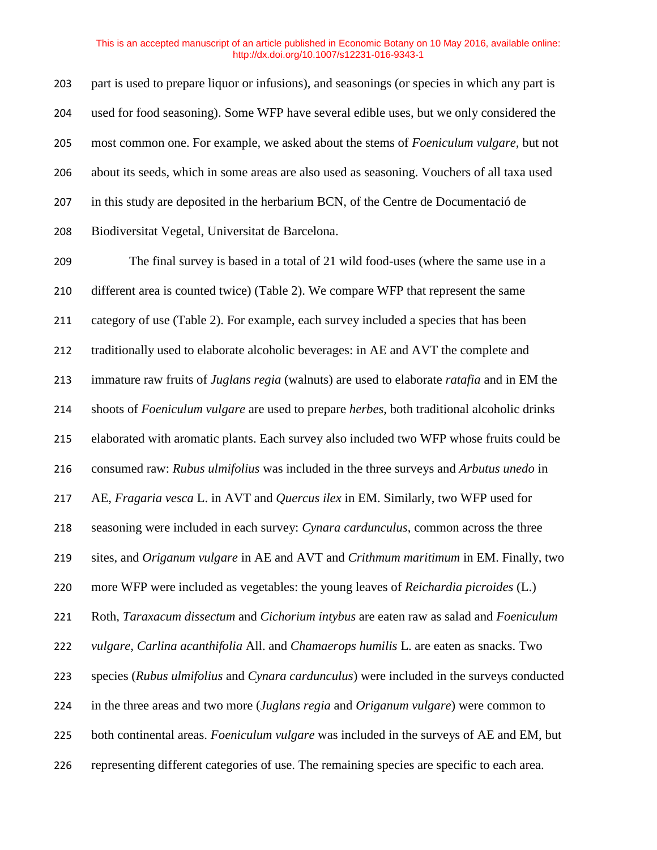part is used to prepare liquor or infusions), and seasonings (or species in which any part is used for food seasoning). Some WFP have several edible uses, but we only considered the most common one. For example, we asked about the stems of *Foeniculum vulgare,* but not about its seeds, which in some areas are also used as seasoning. Vouchers of all taxa used in this study are deposited in the herbarium BCN, of the Centre de Documentació de Biodiversitat Vegetal, Universitat de Barcelona.

 The final survey is based in a total of 21 wild food-uses (where the same use in a different area is counted twice) (Table 2). We compare WFP that represent the same category of use (Table 2). For example, each survey included a species that has been traditionally used to elaborate alcoholic beverages: in AE and AVT the complete and immature raw fruits of *Juglans regia* (walnuts) are used to elaborate *ratafia* and in EM the shoots of *Foeniculum vulgare* are used to prepare *herbes*, both traditional alcoholic drinks elaborated with aromatic plants. Each survey also included two WFP whose fruits could be consumed raw: *Rubus ulmifolius* was included in the three surveys and *Arbutus unedo* in AE, *Fragaria vesca* L. in AVT and *Quercus ilex* in EM. Similarly, two WFP used for seasoning were included in each survey: *Cynara cardunculus*, common across the three sites, and *Origanum vulgare* in AE and AVT and *Crithmum maritimum* in EM. Finally, two more WFP were included as vegetables: the young leaves of *Reichardia picroides* (L.) Roth*, Taraxacum dissectum* and *Cichorium intybus* are eaten raw as salad and *Foeniculum vulgare, Carlina acanthifolia* All. and *Chamaerops humilis* L. are eaten as snacks. Two species (*Rubus ulmifolius* and *Cynara cardunculus*) were included in the surveys conducted in the three areas and two more (*Juglans regia* and *Origanum vulgare*) were common to both continental areas. *Foeniculum vulgare* was included in the surveys of AE and EM, but representing different categories of use. The remaining species are specific to each area.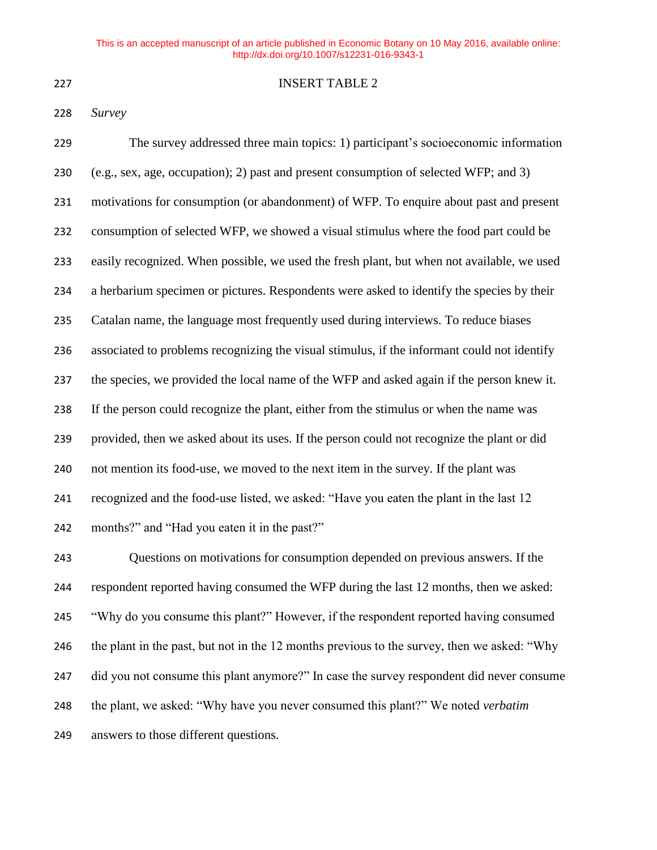### INSERT TABLE 2

## *Survey*

| 229 | The survey addressed three main topics: 1) participant's socioeconomic information          |
|-----|---------------------------------------------------------------------------------------------|
| 230 | (e.g., sex, age, occupation); 2) past and present consumption of selected WFP; and 3)       |
| 231 | motivations for consumption (or abandonment) of WFP. To enquire about past and present      |
| 232 | consumption of selected WFP, we showed a visual stimulus where the food part could be       |
| 233 | easily recognized. When possible, we used the fresh plant, but when not available, we used  |
| 234 | a herbarium specimen or pictures. Respondents were asked to identify the species by their   |
| 235 | Catalan name, the language most frequently used during interviews. To reduce biases         |
| 236 | associated to problems recognizing the visual stimulus, if the informant could not identify |
| 237 | the species, we provided the local name of the WFP and asked again if the person knew it.   |
| 238 | If the person could recognize the plant, either from the stimulus or when the name was      |
| 239 | provided, then we asked about its uses. If the person could not recognize the plant or did  |
| 240 | not mention its food-use, we moved to the next item in the survey. If the plant was         |
| 241 | recognized and the food-use listed, we asked: "Have you eaten the plant in the last 12      |
| 242 | months?" and "Had you eaten it in the past?"                                                |

 Questions on motivations for consumption depended on previous answers. If the respondent reported having consumed the WFP during the last 12 months, then we asked: "Why do you consume this plant?" However, if the respondent reported having consumed the plant in the past, but not in the 12 months previous to the survey, then we asked: "Why did you not consume this plant anymore?" In case the survey respondent did never consume the plant, we asked: "Why have you never consumed this plant?" We noted *verbatim* answers to those different questions.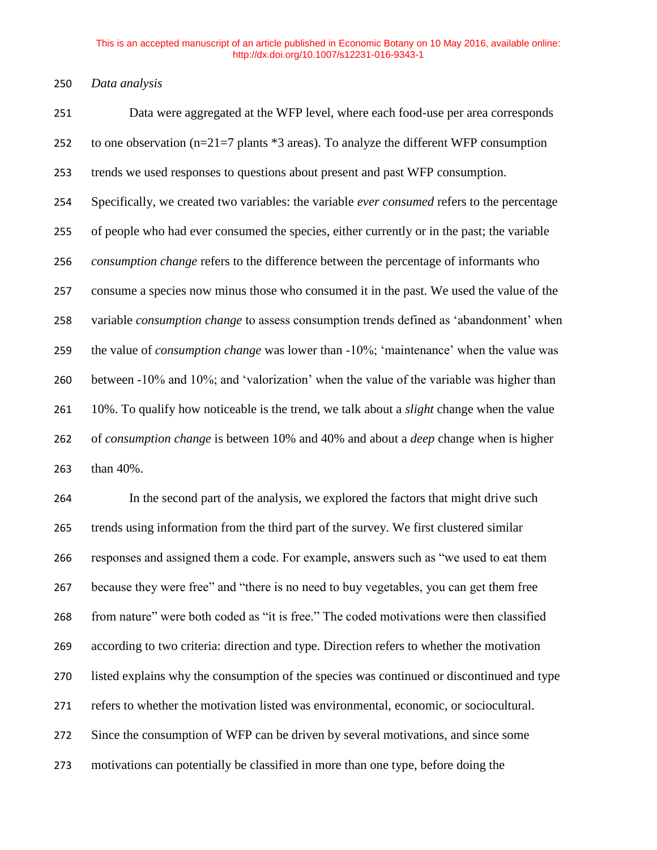*Data analysis*

 Data were aggregated at the WFP level, where each food-use per area corresponds 252 to one observation ( $n=21=7$  plants  $*3$  areas). To analyze the different WFP consumption trends we used responses to questions about present and past WFP consumption. Specifically, we created two variables: the variable *ever consumed* refers to the percentage of people who had ever consumed the species, either currently or in the past; the variable *consumption change* refers to the difference between the percentage of informants who consume a species now minus those who consumed it in the past. We used the value of the variable *consumption change* to assess consumption trends defined as 'abandonment' when the value of *consumption change* was lower than -10%; 'maintenance' when the value was between -10% and 10%; and 'valorization' when the value of the variable was higher than 10%. To qualify how noticeable is the trend, we talk about a *slight* change when the value of *consumption change* is between 10% and 40% and about a *deep* change when is higher than 40%.

 In the second part of the analysis, we explored the factors that might drive such trends using information from the third part of the survey. We first clustered similar responses and assigned them a code. For example, answers such as "we used to eat them because they were free" and "there is no need to buy vegetables, you can get them free from nature" were both coded as "it is free." The coded motivations were then classified according to two criteria: direction and type. Direction refers to whether the motivation listed explains why the consumption of the species was continued or discontinued and type refers to whether the motivation listed was environmental, economic, or sociocultural. Since the consumption of WFP can be driven by several motivations, and since some motivations can potentially be classified in more than one type, before doing the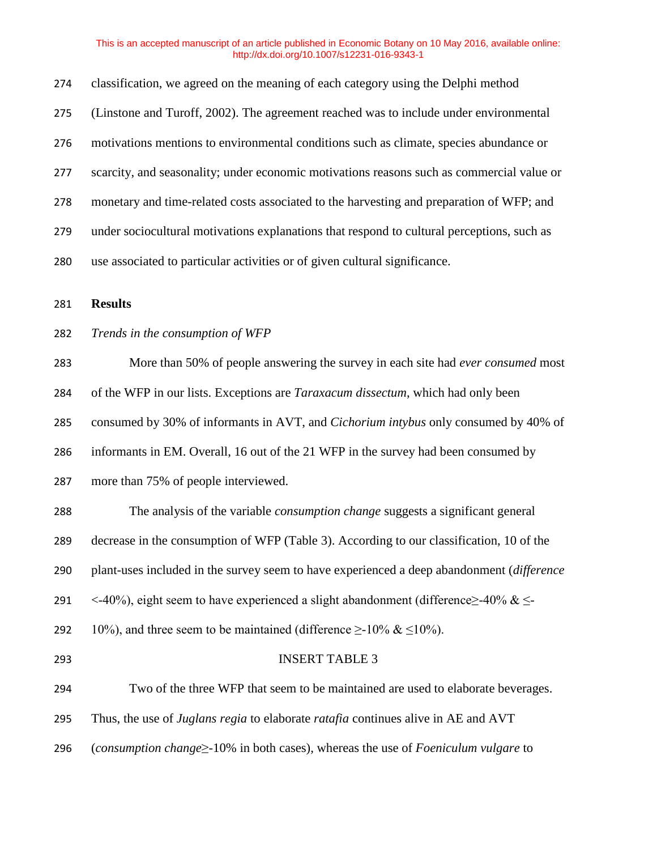| 274 | classification, we agreed on the meaning of each category using the Delphi method              |
|-----|------------------------------------------------------------------------------------------------|
| 275 | (Linstone and Turoff, 2002). The agreement reached was to include under environmental          |
| 276 | motivations mentions to environmental conditions such as climate, species abundance or         |
| 277 | scarcity, and seasonality; under economic motivations reasons such as commercial value or      |
| 278 | monetary and time-related costs associated to the harvesting and preparation of WFP; and       |
| 279 | under sociocultural motivations explanations that respond to cultural perceptions, such as     |
| 280 | use associated to particular activities or of given cultural significance.                     |
| 281 | <b>Results</b>                                                                                 |
| 282 | Trends in the consumption of WFP                                                               |
| 283 | More than 50% of people answering the survey in each site had ever consumed most               |
| 284 | of the WFP in our lists. Exceptions are <i>Taraxacum dissectum</i> , which had only been       |
| 285 | consumed by 30% of informants in AVT, and Cichorium intybus only consumed by 40% of            |
| 286 | informants in EM. Overall, 16 out of the 21 WFP in the survey had been consumed by             |
| 287 | more than 75% of people interviewed.                                                           |
| 288 | The analysis of the variable <i>consumption change</i> suggests a significant general          |
| 289 | decrease in the consumption of WFP (Table 3). According to our classification, 10 of the       |
| 290 | plant-uses included in the survey seem to have experienced a deep abandonment (difference      |
| 291 | <-40%), eight seem to have experienced a slight abandonment (difference $\geq$ -40% & $\leq$ - |
| 292 | 10%), and three seem to be maintained (difference $\geq$ -10% & $\leq$ 10%).                   |
| 293 | <b>INSERT TABLE 3</b>                                                                          |
| 294 | Two of the three WFP that seem to be maintained are used to elaborate beverages.               |
| 295 | Thus, the use of Juglans regia to elaborate ratafia continues alive in AE and AVT              |
| 296 | (consumption change $\geq$ -10% in both cases), whereas the use of Foeniculum vulgare to       |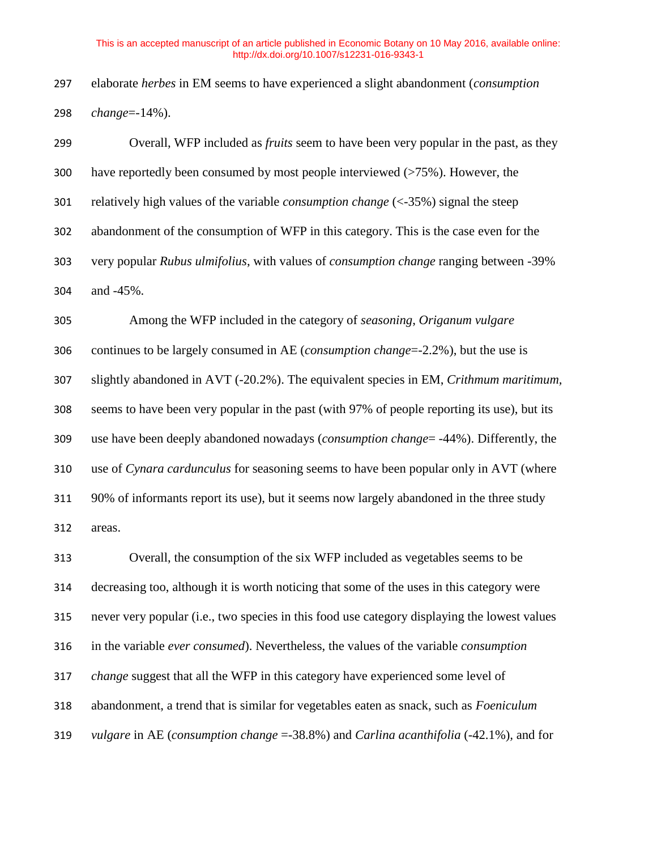elaborate *herbes* in EM seems to have experienced a slight abandonment (*consumption change*=-14%).

 Overall, WFP included as *fruits* seem to have been very popular in the past, as they have reportedly been consumed by most people interviewed (>75%). However, the relatively high values of the variable *consumption change* (<-35%) signal the steep abandonment of the consumption of WFP in this category. This is the case even for the very popular *Rubus ulmifolius*, with values of *consumption change* ranging between -39% and -45%.

 Among the WFP included in the category of *seasoning*, *Origanum vulgare* continues to be largely consumed in AE (*consumption change*=-2.2%), but the use is slightly abandoned in AVT (-20.2%). The equivalent species in EM, *Crithmum maritimum,* seems to have been very popular in the past (with 97% of people reporting its use), but its use have been deeply abandoned nowadays (*consumption change*= -44%). Differently, the use of *Cynara cardunculus* for seasoning seems to have been popular only in AVT (where 90% of informants report its use), but it seems now largely abandoned in the three study areas.

 Overall, the consumption of the six WFP included as vegetables seems to be decreasing too, although it is worth noticing that some of the uses in this category were never very popular (i.e., two species in this food use category displaying the lowest values in the variable *ever consumed*). Nevertheless, the values of the variable *consumption change* suggest that all the WFP in this category have experienced some level of abandonment, a trend that is similar for vegetables eaten as snack, such as *Foeniculum vulgare* in AE (*consumption change* =-38.8%) and *Carlina acanthifolia* (-42.1%)*,* and for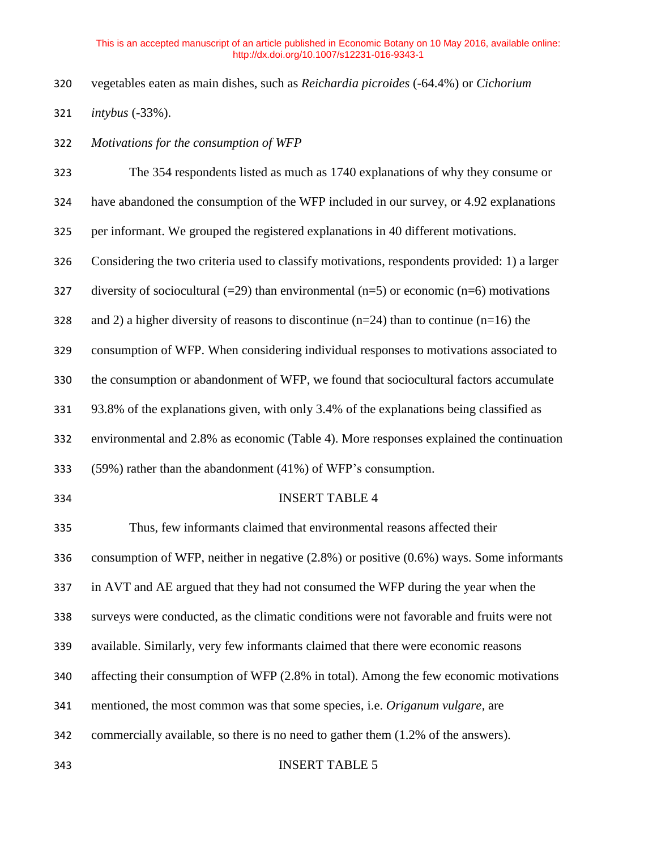- vegetables eaten as main dishes, such as *Reichardia picroides* (-64.4%) or *Cichorium*
- *intybus* (-33%).
- *Motivations for the consumption of WFP*

| 323 | The 354 respondents listed as much as 1740 explanations of why they consume or                 |
|-----|------------------------------------------------------------------------------------------------|
| 324 | have abandoned the consumption of the WFP included in our survey, or 4.92 explanations         |
| 325 | per informant. We grouped the registered explanations in 40 different motivations.             |
| 326 | Considering the two criteria used to classify motivations, respondents provided: 1) a larger   |
| 327 | diversity of sociocultural (=29) than environmental (n=5) or economic (n=6) motivations        |
| 328 | and 2) a higher diversity of reasons to discontinue ( $n=24$ ) than to continue ( $n=16$ ) the |
| 329 | consumption of WFP. When considering individual responses to motivations associated to         |
| 330 | the consumption or abandonment of WFP, we found that sociocultural factors accumulate          |
| 331 | 93.8% of the explanations given, with only 3.4% of the explanations being classified as        |
| 332 | environmental and 2.8% as economic (Table 4). More responses explained the continuation        |
| 333 | (59%) rather than the abandonment (41%) of WFP's consumption.                                  |
| 334 | <b>INSERT TABLE 4</b>                                                                          |
| 335 | Thus, few informants claimed that environmental reasons affected their                         |
| 336 | consumption of WFP, neither in negative $(2.8\%)$ or positive $(0.6\%)$ ways. Some informants  |
| 337 | in AVT and AE argued that they had not consumed the WFP during the year when the               |
| 338 | surveys were conducted, as the climatic conditions were not favorable and fruits were not      |
| 339 | available. Similarly, very few informants claimed that there were economic reasons             |
| 340 | affecting their consumption of WFP (2.8% in total). Among the few economic motivations         |
| 341 | mentioned, the most common was that some species, i.e. Origanum vulgare, are                   |
| 342 | commercially available, so there is no need to gather them (1.2% of the answers).              |
| 343 | <b>INSERT TABLE 5</b>                                                                          |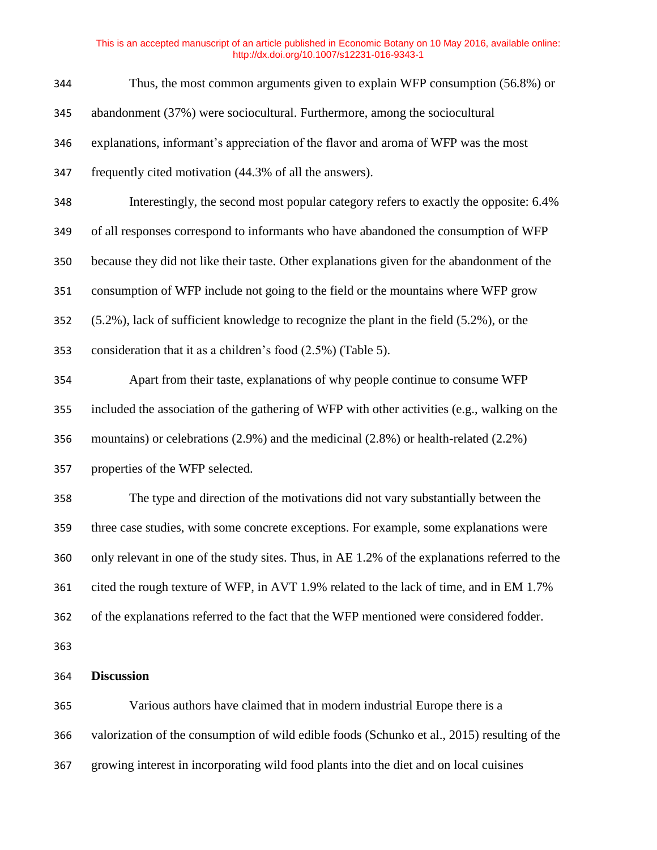| 344 | Thus, the most common arguments given to explain WFP consumption (56.8%) or                   |
|-----|-----------------------------------------------------------------------------------------------|
| 345 | abandonment (37%) were sociocultural. Furthermore, among the sociocultural                    |
| 346 | explanations, informant's appreciation of the flavor and aroma of WFP was the most            |
| 347 | frequently cited motivation (44.3% of all the answers).                                       |
| 348 | Interestingly, the second most popular category refers to exactly the opposite: 6.4%          |
| 349 | of all responses correspond to informants who have abandoned the consumption of WFP           |
| 350 | because they did not like their taste. Other explanations given for the abandonment of the    |
| 351 | consumption of WFP include not going to the field or the mountains where WFP grow             |
| 352 | (5.2%), lack of sufficient knowledge to recognize the plant in the field (5.2%), or the       |
| 353 | consideration that it as a children's food $(2.5\%)$ (Table 5).                               |
| 354 | Apart from their taste, explanations of why people continue to consume WFP                    |
| 355 | included the association of the gathering of WFP with other activities (e.g., walking on the  |
| 356 | mountains) or celebrations $(2.9\%)$ and the medicinal $(2.8\%)$ or health-related $(2.2\%)$  |
| 357 | properties of the WFP selected.                                                               |
| 358 | The type and direction of the motivations did not vary substantially between the              |
| 359 | three case studies, with some concrete exceptions. For example, some explanations were        |
| 360 | only relevant in one of the study sites. Thus, in AE 1.2% of the explanations referred to the |
| 361 | cited the rough texture of WFP, in AVT 1.9% related to the lack of time, and in EM 1.7%       |
| 362 | of the explanations referred to the fact that the WFP mentioned were considered fodder.       |
| 363 |                                                                                               |
| 364 | <b>Discussion</b>                                                                             |
| 365 | Various authors have claimed that in modern industrial Europe there is a                      |
| 366 | valorization of the consumption of wild edible foods (Schunko et al., 2015) resulting of the  |

growing interest in incorporating wild food plants into the diet and on local cuisines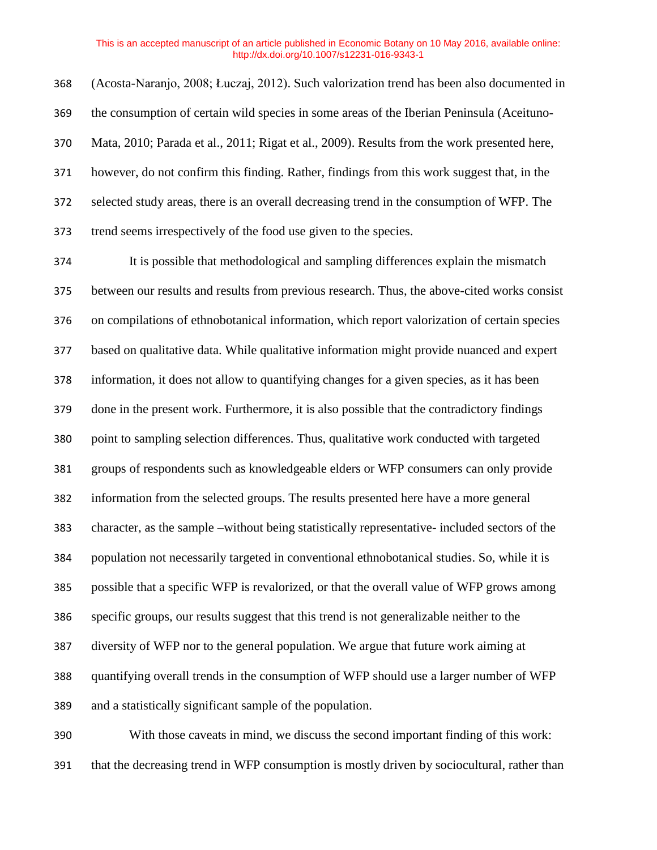(Acosta-Naranjo, 2008; Łuczaj, 2012). Such valorization trend has been also documented in the consumption of certain wild species in some areas of the Iberian Peninsula (Aceituno- Mata, 2010; Parada et al., 2011; Rigat et al., 2009). Results from the work presented here, however, do not confirm this finding. Rather, findings from this work suggest that, in the selected study areas, there is an overall decreasing trend in the consumption of WFP. The trend seems irrespectively of the food use given to the species.

 It is possible that methodological and sampling differences explain the mismatch between our results and results from previous research. Thus, the above-cited works consist on compilations of ethnobotanical information, which report valorization of certain species based on qualitative data. While qualitative information might provide nuanced and expert information, it does not allow to quantifying changes for a given species, as it has been done in the present work. Furthermore, it is also possible that the contradictory findings point to sampling selection differences. Thus, qualitative work conducted with targeted groups of respondents such as knowledgeable elders or WFP consumers can only provide information from the selected groups. The results presented here have a more general character, as the sample –without being statistically representative- included sectors of the population not necessarily targeted in conventional ethnobotanical studies. So, while it is possible that a specific WFP is revalorized, or that the overall value of WFP grows among specific groups, our results suggest that this trend is not generalizable neither to the diversity of WFP nor to the general population. We argue that future work aiming at quantifying overall trends in the consumption of WFP should use a larger number of WFP and a statistically significant sample of the population.

 With those caveats in mind, we discuss the second important finding of this work: that the decreasing trend in WFP consumption is mostly driven by sociocultural, rather than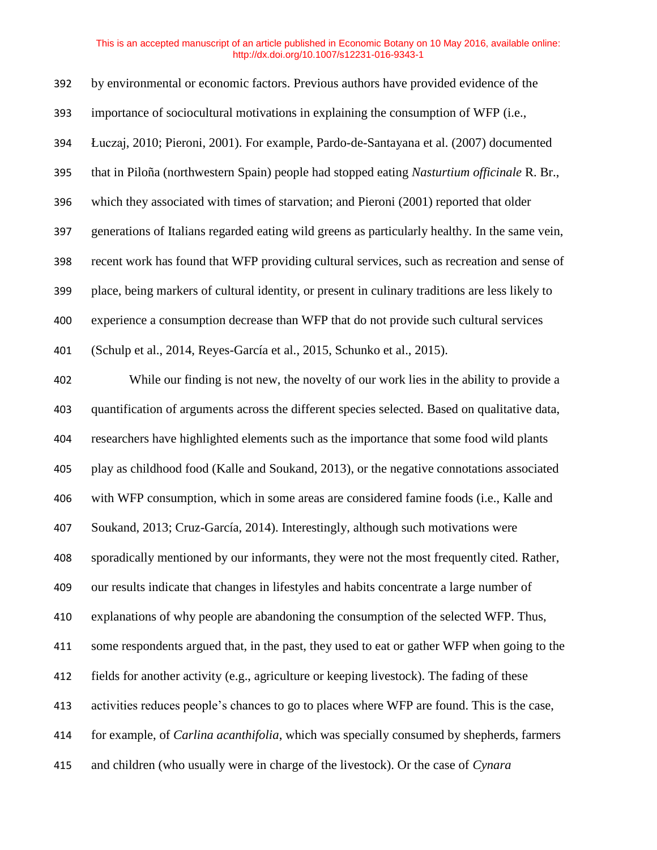| 392 | by environmental or economic factors. Previous authors have provided evidence of the             |
|-----|--------------------------------------------------------------------------------------------------|
| 393 | importance of sociocultural motivations in explaining the consumption of WFP (i.e.,              |
| 394 | Łuczaj, 2010; Pieroni, 2001). For example, Pardo-de-Santayana et al. (2007) documented           |
| 395 | that in Piloña (northwestern Spain) people had stopped eating Nasturtium officinale R. Br.,      |
| 396 | which they associated with times of starvation; and Pieroni (2001) reported that older           |
| 397 | generations of Italians regarded eating wild greens as particularly healthy. In the same vein,   |
| 398 | recent work has found that WFP providing cultural services, such as recreation and sense of      |
| 399 | place, being markers of cultural identity, or present in culinary traditions are less likely to  |
| 400 | experience a consumption decrease than WFP that do not provide such cultural services            |
| 401 | (Schulp et al., 2014, Reyes-García et al., 2015, Schunko et al., 2015).                          |
| 402 | While our finding is not new, the novelty of our work lies in the ability to provide a           |
| 403 | quantification of arguments across the different species selected. Based on qualitative data,    |
| 404 | researchers have highlighted elements such as the importance that some food wild plants          |
| 405 | play as childhood food (Kalle and Soukand, 2013), or the negative connotations associated        |
| 406 | with WFP consumption, which in some areas are considered famine foods (i.e., Kalle and           |
| 407 | Soukand, 2013; Cruz-García, 2014). Interestingly, although such motivations were                 |
| 408 | sporadically mentioned by our informants, they were not the most frequently cited. Rather,       |
| 409 | our results indicate that changes in lifestyles and habits concentrate a large number of         |
| 410 | explanations of why people are abandoning the consumption of the selected WFP. Thus,             |
| 411 | some respondents argued that, in the past, they used to eat or gather WFP when going to the      |
| 412 | fields for another activity (e.g., agriculture or keeping livestock). The fading of these        |
| 413 | activities reduces people's chances to go to places where WFP are found. This is the case,       |
| 414 | for example, of <i>Carlina acanthifolia</i> , which was specially consumed by shepherds, farmers |
| 415 | and children (who usually were in charge of the livestock). Or the case of Cynara                |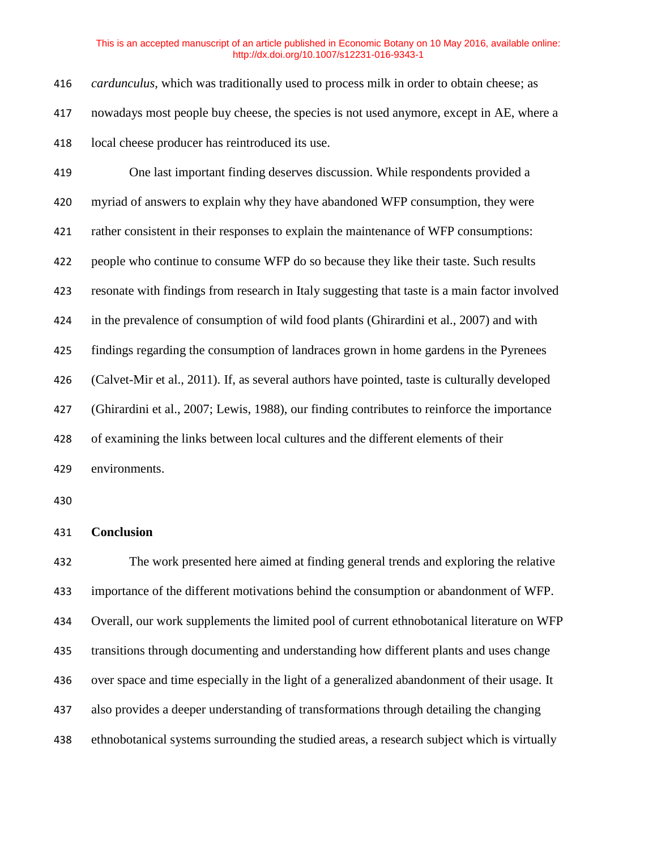| 416 | <i>cardunculus</i> , which was traditionally used to process milk in order to obtain cheese; as |
|-----|-------------------------------------------------------------------------------------------------|
| 417 | nowadays most people buy cheese, the species is not used anymore, except in AE, where a         |
| 418 | local cheese producer has reintroduced its use.                                                 |
| 419 | One last important finding deserves discussion. While respondents provided a                    |
| 420 | myriad of answers to explain why they have abandoned WFP consumption, they were                 |
| 421 | rather consistent in their responses to explain the maintenance of WFP consumptions:            |
| 422 | people who continue to consume WFP do so because they like their taste. Such results            |
| 423 | resonate with findings from research in Italy suggesting that taste is a main factor involved   |
| 424 | in the prevalence of consumption of wild food plants (Ghirardini et al., 2007) and with         |
| 425 | findings regarding the consumption of landraces grown in home gardens in the Pyrenees           |
| 426 | (Calvet-Mir et al., 2011). If, as several authors have pointed, taste is culturally developed   |
| 427 | (Ghirardini et al., 2007; Lewis, 1988), our finding contributes to reinforce the importance     |
| 428 | of examining the links between local cultures and the different elements of their               |
| 429 | environments.                                                                                   |

## **Conclusion**

 The work presented here aimed at finding general trends and exploring the relative importance of the different motivations behind the consumption or abandonment of WFP. Overall, our work supplements the limited pool of current ethnobotanical literature on WFP transitions through documenting and understanding how different plants and uses change over space and time especially in the light of a generalized abandonment of their usage. It also provides a deeper understanding of transformations through detailing the changing ethnobotanical systems surrounding the studied areas, a research subject which is virtually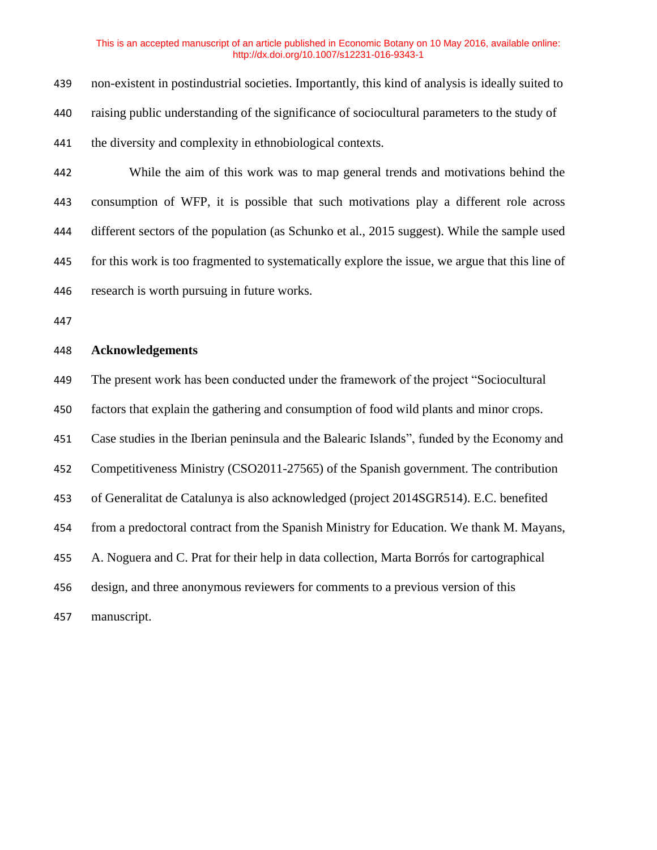| 442 | While the aim of this work was to map general trends and motivations behind the                   |
|-----|---------------------------------------------------------------------------------------------------|
| 441 | the diversity and complexity in ethnobiological contexts.                                         |
| 440 | raising public understanding of the significance of sociocultural parameters to the study of      |
| 439 | non-existent in postindustrial societies. Importantly, this kind of analysis is ideally suited to |

 consumption of WFP, it is possible that such motivations play a different role across different sectors of the population (as Schunko et al., 2015 suggest). While the sample used for this work is too fragmented to systematically explore the issue, we argue that this line of research is worth pursuing in future works.

## **Acknowledgements**

The present work has been conducted under the framework of the project "Sociocultural

factors that explain the gathering and consumption of food wild plants and minor crops.

Case studies in the Iberian peninsula and the Balearic Islands", funded by the Economy and

Competitiveness Ministry (CSO2011-27565) of the Spanish government. The contribution

of Generalitat de Catalunya is also acknowledged (project 2014SGR514). E.C. benefited

from a predoctoral contract from the Spanish Ministry for Education. We thank M. Mayans,

A. Noguera and C. Prat for their help in data collection, Marta Borrós for cartographical

design, and three anonymous reviewers for comments to a previous version of this

manuscript.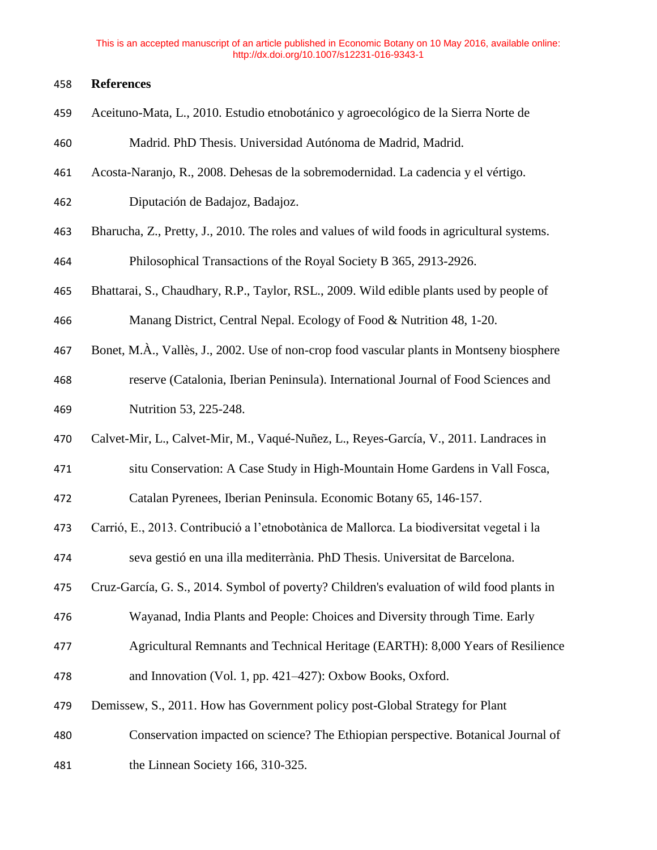## **References**

- Aceituno-Mata, L., 2010. Estudio etnobotánico y agroecológico de la Sierra Norte de
- Madrid. PhD Thesis. Universidad Autónoma de Madrid, Madrid.
- Acosta-Naranjo, R., 2008. Dehesas de la sobremodernidad. La cadencia y el vértigo.
- Diputación de Badajoz, Badajoz.
- Bharucha, Z., Pretty, J., 2010. The roles and values of wild foods in agricultural systems.

Philosophical Transactions of the Royal Society B 365, 2913-2926.

- Bhattarai, S., Chaudhary, R.P., Taylor, RSL., 2009. Wild edible plants used by people of Manang District, Central Nepal. Ecology of Food & Nutrition 48, 1-20.
- Bonet, M.À., Vallès, J., 2002. Use of non-crop food vascular plants in Montseny biosphere
- reserve (Catalonia, Iberian Peninsula). International Journal of Food Sciences and Nutrition 53, 225-248.
- Calvet-Mir, L., Calvet-Mir, M., Vaqué-Nuñez, L., Reyes-García, V., 2011. Landraces in
- situ Conservation: A Case Study in High-Mountain Home Gardens in Vall Fosca,
- Catalan Pyrenees, Iberian Peninsula. Economic Botany 65, 146-157.
- Carrió, E., 2013. Contribució a l'etnobotànica de Mallorca. La biodiversitat vegetal i la
- seva gestió en una illa mediterrània. PhD Thesis. Universitat de Barcelona.
- Cruz-García, G. S., 2014. Symbol of poverty? Children's evaluation of wild food plants in
- Wayanad, India Plants and People: Choices and Diversity through Time. Early
- Agricultural Remnants and Technical Heritage (EARTH): 8,000 Years of Resilience
- and Innovation (Vol. 1, pp. 421–427): Oxbow Books, Oxford.
- Demissew, S., 2011. How has Government policy post-Global Strategy for Plant
- Conservation impacted on science? The Ethiopian perspective. Botanical Journal of
- the Linnean Society 166, 310-325.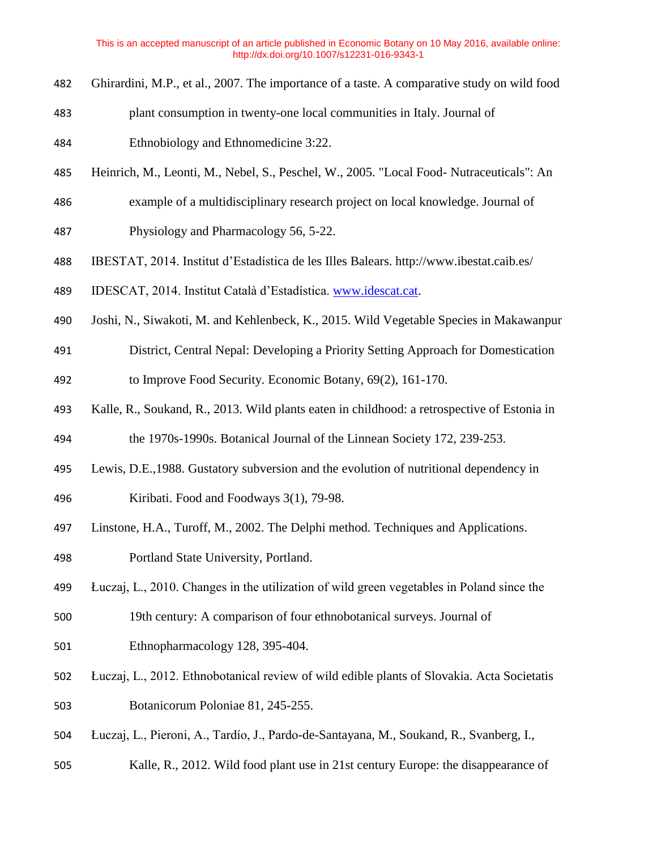- Ghirardini, M.P., et al., 2007. The importance of a taste. A comparative study on wild food
- plant consumption in twenty-one local communities in Italy. Journal of
- Ethnobiology and Ethnomedicine 3:22.
- Heinrich, M., Leonti, M., Nebel, S., Peschel, W., 2005. "Local Food- Nutraceuticals": An
- example of a multidisciplinary research project on local knowledge. Journal of
- Physiology and Pharmacology 56, 5-22.
- IBESTAT, 2014. Institut d'Estadística de les Illes Balears. http://www.ibestat.caib.es/
- IDESCAT, 2014. Institut Català d'Estadística. [www.idescat.cat.](http://www.idescat.cat/)
- Joshi, N., Siwakoti, M. and Kehlenbeck, K., 2015. Wild Vegetable Species in Makawanpur
- District, Central Nepal: Developing a Priority Setting Approach for Domestication to Improve Food Security. Economic Botany, 69(2), 161-170.
- Kalle, R., Soukand, R., 2013. Wild plants eaten in childhood: a retrospective of Estonia in the 1970s-1990s. Botanical Journal of the Linnean Society 172, 239-253.
- 
- Lewis, D.E.,1988. Gustatory subversion and the evolution of nutritional dependency in
- Kiribati. Food and Foodways 3(1), 79-98.
- Linstone, H.A., Turoff, M., 2002. The Delphi method. Techniques and Applications.
- Portland State University, Portland.
- Łuczaj, L., 2010. Changes in the utilization of wild green vegetables in Poland since the
- 19th century: A comparison of four ethnobotanical surveys. Journal of
- Ethnopharmacology 128, 395-404.
- Łuczaj, L., 2012. Ethnobotanical review of wild edible plants of Slovakia. Acta Societatis Botanicorum Poloniae 81, 245-255.
- Łuczaj, L., Pieroni, A., Tardío, J., Pardo-de-Santayana, M., Soukand, R., Svanberg, I.,
- Kalle, R., 2012. Wild food plant use in 21st century Europe: the disappearance of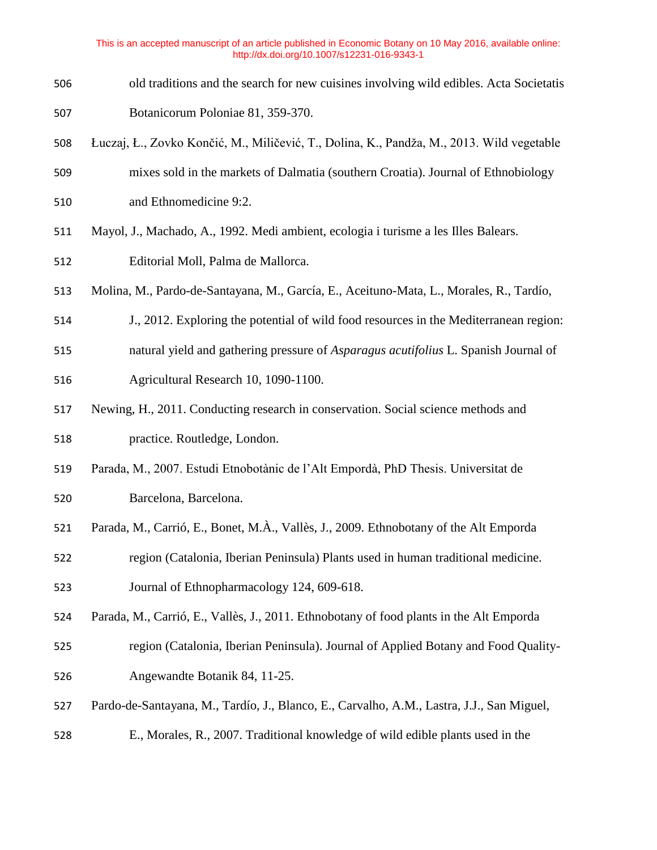- old traditions and the search for new cuisines involving wild edibles. Acta Societatis Botanicorum Poloniae 81, 359-370.
- Łuczaj, Ł., Zovko Končić, M., Miličević, T., Dolina, K., Pandža, M., 2013. Wild vegetable mixes sold in the markets of Dalmatia (southern Croatia). Journal of Ethnobiology
- and Ethnomedicine 9:2.
- Mayol, J., Machado, A., 1992. Medi ambient, ecologia i turisme a les Illes Balears.
- Editorial Moll, Palma de Mallorca.
- Molina, M., Pardo-de-Santayana, M., García, E., Aceituno-Mata, L., Morales, R., Tardío,
- J., 2012. Exploring the potential of wild food resources in the Mediterranean region:
- natural yield and gathering pressure of *Asparagus acutifolius* L. Spanish Journal of Agricultural Research 10, 1090-1100.
- Newing, H., 2011. Conducting research in conservation. Social science methods and practice. Routledge, London.
- Parada, M., 2007. Estudi Etnobotànic de l'Alt Empordà, PhD Thesis. Universitat de
- Barcelona, Barcelona.
- Parada, M., Carrió, E., Bonet, M.À., Vallès, J., 2009. Ethnobotany of the Alt Emporda
- region (Catalonia, Iberian Peninsula) Plants used in human traditional medicine. Journal of Ethnopharmacology 124, 609-618.
- Parada, M., Carrió, E., Vallès, J., 2011. Ethnobotany of food plants in the Alt Emporda
- region (Catalonia, Iberian Peninsula). Journal of Applied Botany and Food Quality-Angewandte Botanik 84, 11-25.
- Pardo-de-Santayana, M., Tardío, J., Blanco, E., Carvalho, A.M., Lastra, J.J., San Miguel,
- E., Morales, R., 2007. Traditional knowledge of wild edible plants used in the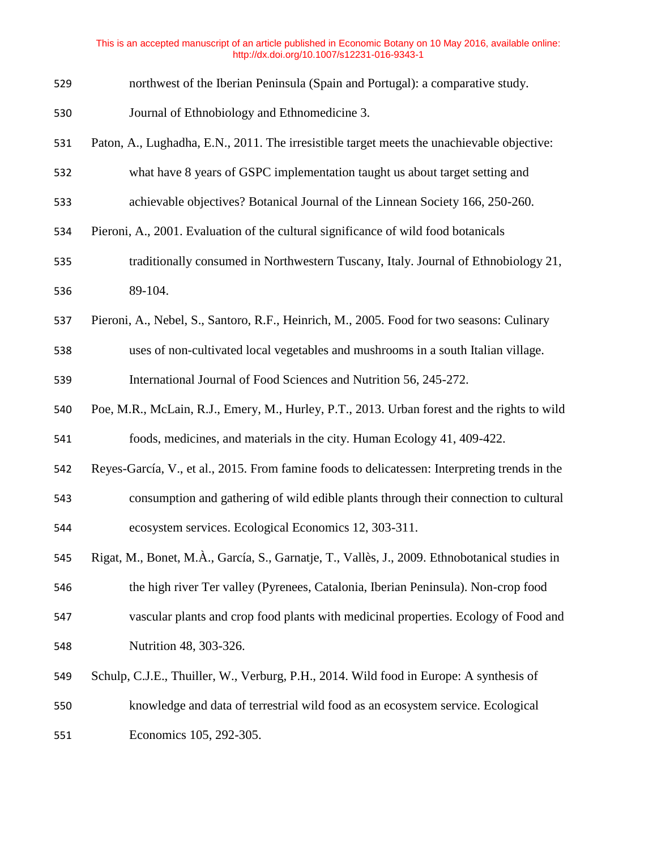- northwest of the Iberian Peninsula (Spain and Portugal): a comparative study.
- Journal of Ethnobiology and Ethnomedicine 3.
- Paton, A., Lughadha, E.N., 2011. The irresistible target meets the unachievable objective:
- what have 8 years of GSPC implementation taught us about target setting and
- achievable objectives? Botanical Journal of the Linnean Society 166, 250-260.
- Pieroni, A., 2001. Evaluation of the cultural significance of wild food botanicals
- traditionally consumed in Northwestern Tuscany, Italy. Journal of Ethnobiology 21, 89-104.
- Pieroni, A., Nebel, S., Santoro, R.F., Heinrich, M., 2005. Food for two seasons: Culinary
- uses of non-cultivated local vegetables and mushrooms in a south Italian village.

International Journal of Food Sciences and Nutrition 56, 245-272.

- Poe, M.R., McLain, R.J., Emery, M., Hurley, P.T., 2013. Urban forest and the rights to wild foods, medicines, and materials in the city. Human Ecology 41, 409-422.
- Reyes-García, V., et al., 2015. From famine foods to delicatessen: Interpreting trends in the consumption and gathering of wild edible plants through their connection to cultural ecosystem services. Ecological Economics 12, 303-311.
- Rigat, M., Bonet, M.À., García, S., Garnatje, T., Vallès, J., 2009. Ethnobotanical studies in the high river Ter valley (Pyrenees, Catalonia, Iberian Peninsula). Non-crop food vascular plants and crop food plants with medicinal properties. Ecology of Food and Nutrition 48, 303-326.
- Schulp, C.J.E., Thuiller, W., Verburg, P.H., 2014. Wild food in Europe: A synthesis of knowledge and data of terrestrial wild food as an ecosystem service. Ecological

Economics 105, 292-305.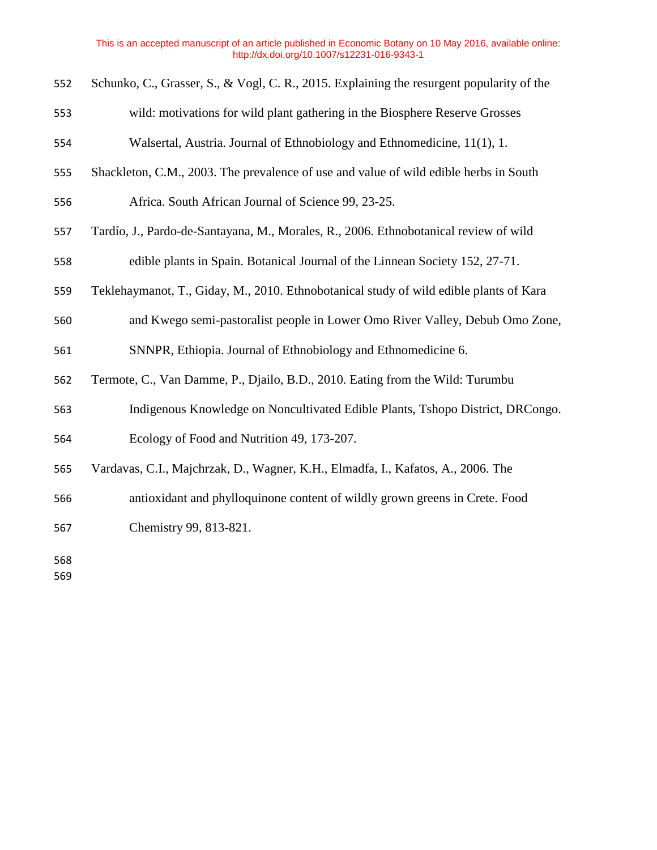- Schunko, C., Grasser, S., & Vogl, C. R., 2015. Explaining the resurgent popularity of the
- wild: motivations for wild plant gathering in the Biosphere Reserve Grosses
- Walsertal, Austria. Journal of Ethnobiology and Ethnomedicine, 11(1), 1.
- Shackleton, C.M., 2003. The prevalence of use and value of wild edible herbs in South
- Africa. South African Journal of Science 99, 23-25.
- Tardío, J., Pardo-de-Santayana, M., Morales, R., 2006. Ethnobotanical review of wild
- edible plants in Spain. Botanical Journal of the Linnean Society 152, 27-71.
- Teklehaymanot, T., Giday, M., 2010. Ethnobotanical study of wild edible plants of Kara
- and Kwego semi-pastoralist people in Lower Omo River Valley, Debub Omo Zone,
- SNNPR, Ethiopia. Journal of Ethnobiology and Ethnomedicine 6.
- Termote, C., Van Damme, P., Djailo, B.D., 2010. Eating from the Wild: Turumbu
- Indigenous Knowledge on Noncultivated Edible Plants, Tshopo District, DRCongo.
- Ecology of Food and Nutrition 49, 173-207.
- Vardavas, C.I., Majchrzak, D., Wagner, K.H., Elmadfa, I., Kafatos, A., 2006. The
- antioxidant and phylloquinone content of wildly grown greens in Crete. Food Chemistry 99, 813-821.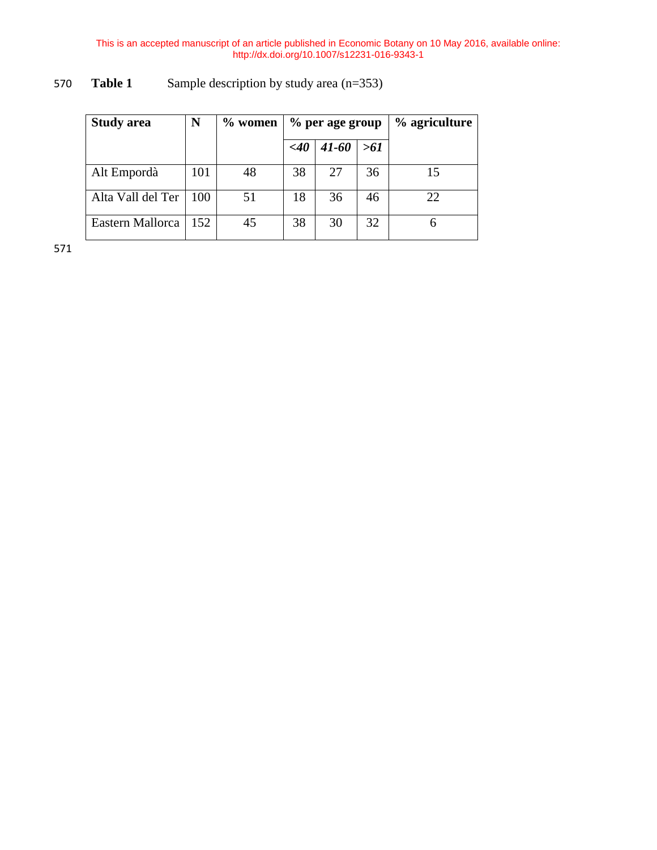| <b>Study area</b> | N   | $\%$ women |        | % per age group | % agriculture |    |
|-------------------|-----|------------|--------|-----------------|---------------|----|
|                   |     |            | $<$ 40 | $41 - 60$       | >61           |    |
| Alt Empordà       | 101 | 48         | 38     | 27              | 36            | 15 |
| Alta Vall del Ter | 100 | 51         | 18     | 36              | 46            | 22 |
| Eastern Mallorca  | 152 | 45         | 38     | 30              | 32            |    |

# 570 **Table 1** Sample description by study area (n=353)

571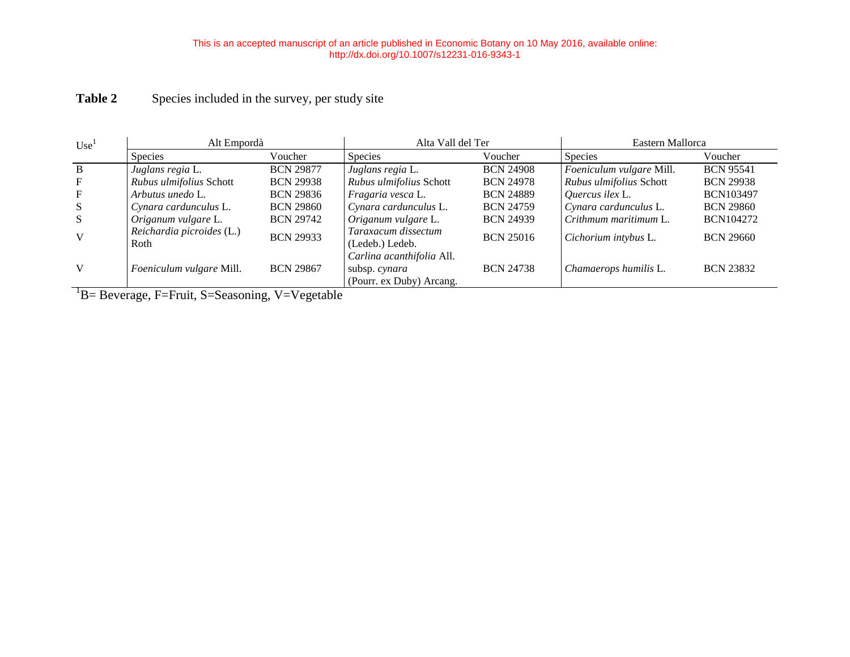# Table 2 Species included in the survey, per study site

| Use <sup>1</sup> | Alt Empordà                       |                  | Alta Vall del Ter                                                      |                  | Eastern Mallorca         |                  |  |  |  |  |
|------------------|-----------------------------------|------------------|------------------------------------------------------------------------|------------------|--------------------------|------------------|--|--|--|--|
|                  | Species                           | Voucher          | <b>Species</b>                                                         | Voucher          | <b>Species</b>           | Voucher          |  |  |  |  |
| <sup>B</sup>     | Juglans regia L.                  | <b>BCN 29877</b> | Juglans regia L.                                                       | <b>BCN 24908</b> | Foeniculum vulgare Mill. | <b>BCN 95541</b> |  |  |  |  |
| F                | Rubus ulmifolius Schott           | <b>BCN 29938</b> | Rubus ulmifolius Schott                                                | <b>BCN 24978</b> | Rubus ulmifolius Schott  | <b>BCN 29938</b> |  |  |  |  |
| F                | Arbutus unedo L.                  | <b>BCN 29836</b> | Fragaria vesca L.                                                      | <b>BCN 24889</b> | Quercus ilex L.          | <b>BCN103497</b> |  |  |  |  |
| S                | Cynara cardunculus L.             | <b>BCN 29860</b> | Cynara cardunculus L.                                                  | <b>BCN 24759</b> | Cynara cardunculus L.    | <b>BCN 29860</b> |  |  |  |  |
| -S               | Origanum vulgare L.               | <b>BCN 29742</b> | Origanum vulgare L.                                                    | <b>BCN 24939</b> | Crithmum maritimum L.    | <b>BCN104272</b> |  |  |  |  |
| $\mathbf{V}$     | Reichardia picroides (L.)<br>Roth | <b>BCN 29933</b> | Taraxacum dissectum<br>(Ledeb.) Ledeb.                                 | <b>BCN 25016</b> | Cichorium intybus L.     | <b>BCN 29660</b> |  |  |  |  |
| V                | Foeniculum vulgare Mill.          | <b>BCN 29867</b> | Carlina acanthifolia All.<br>subsp. cynara<br>(Pourr. ex Duby) Arcang. | <b>BCN 24738</b> | Chamaerops humilis L.    | <b>BCN 23832</b> |  |  |  |  |

<sup>1</sup>B= Beverage, F=Fruit, S=Seasoning, V=Vegetable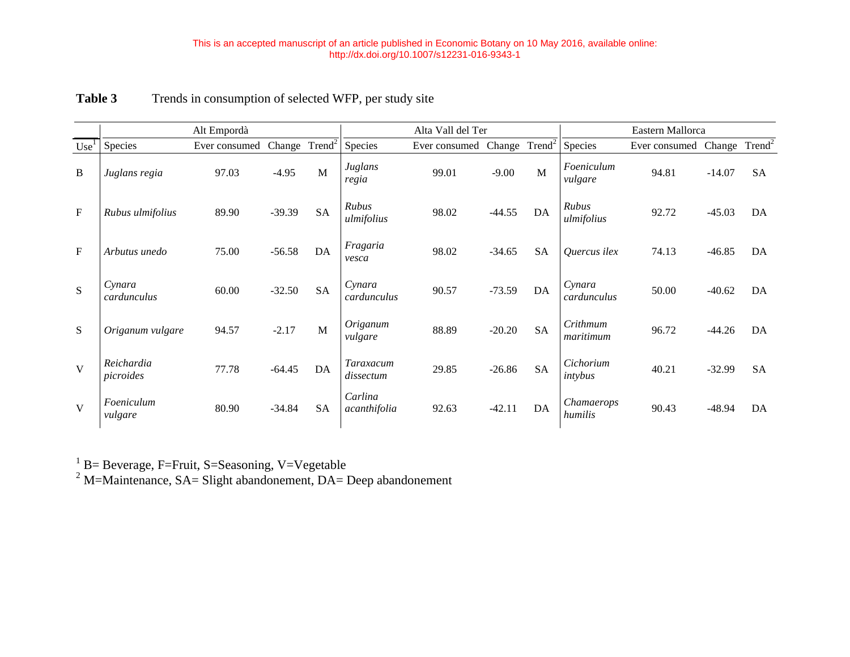|                  |                         | Alt Empordà   |          | Alta Vall del Ter  |                         |               |          | Eastern Mallorca   |                       |               |                 |           |  |  |
|------------------|-------------------------|---------------|----------|--------------------|-------------------------|---------------|----------|--------------------|-----------------------|---------------|-----------------|-----------|--|--|
| Use <sup>1</sup> | Species                 | Ever consumed | Change   | Trend <sup>2</sup> | Species                 | Ever consumed | Change   | Trend <sup>2</sup> | Species               | Ever consumed | Change $Trend2$ |           |  |  |
| B                | Juglans regia           | 97.03         | $-4.95$  | M                  | Juglans<br>regia        | 99.01         | $-9.00$  | M                  | Foeniculum<br>vulgare | 94.81         | $-14.07$        | <b>SA</b> |  |  |
| $\mathbf F$      | Rubus ulmifolius        | 89.90         | $-39.39$ | <b>SA</b>          | Rubus<br>ulmifolius     | 98.02         | $-44.55$ | DA                 | Rubus<br>ulmifolius   | 92.72         | $-45.03$        | DA        |  |  |
| $\mathbf F$      | Arbutus unedo           | 75.00         | $-56.58$ | DA                 | Fragaria<br>vesca       | 98.02         | $-34.65$ | <b>SA</b>          | <i>Ouercus ilex</i>   | 74.13         | $-46.85$        | DA        |  |  |
| S                | Cynara<br>cardunculus   | 60.00         | $-32.50$ | <b>SA</b>          | Cynara<br>cardunculus   | 90.57         | $-73.59$ | DA                 | Cynara<br>cardunculus | 50.00         | $-40.62$        | DA        |  |  |
| S                | Origanum vulgare        | 94.57         | $-2.17$  | M                  | Origanum<br>vulgare     | 88.89         | $-20.20$ | <b>SA</b>          | Crithmum<br>maritimum | 96.72         | $-44.26$        | DA        |  |  |
| $\mathbf{V}$     | Reichardia<br>picroides | 77.78         | $-64.45$ | DA                 | Taraxacum<br>dissectum  | 29.85         | $-26.86$ | <b>SA</b>          | Cichorium<br>intybus  | 40.21         | $-32.99$        | <b>SA</b> |  |  |
| $\mathbf{V}$     | Foeniculum<br>vulgare   | 80.90         | $-34.84$ | SA                 | Carlina<br>acanthifolia | 92.63         | $-42.11$ | DA                 | Chamaerops<br>humilis | 90.43         | $-48.94$        | DA        |  |  |

 $1$  B= Beverage, F=Fruit, S=Seasoning, V=Vegetable

 $2^2$  M=Maintenance, SA= Slight abandonement, DA= Deep abandonement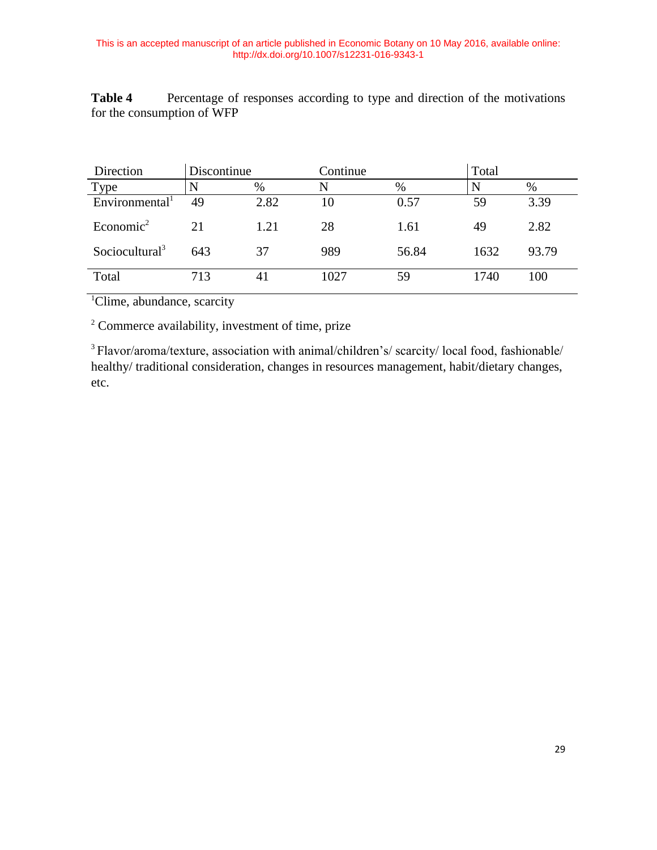**Table 4** Percentage of responses according to type and direction of the motivations for the consumption of WFP

| Direction                  | Discontinue |      | Continue |       | Total |       |
|----------------------------|-------------|------|----------|-------|-------|-------|
| Type                       | N           | %    | N        | $\%$  |       | $\%$  |
| Environmental <sup>1</sup> | 49          | 2.82 | 10       | 0.57  | 59    | 3.39  |
| Economic <sup>2</sup>      | 21          | 1.21 | 28       | 1.61  | 49    | 2.82  |
| Sociocultural <sup>3</sup> | 643         | 37   | 989      | 56.84 | 1632  | 93.79 |
| Total                      | 713         | 41   | 1027     | 59    | 1740  | 100   |

<sup>1</sup>Clime, abundance, scarcity

<sup>2</sup> Commerce availability, investment of time, prize

<sup>3</sup> Flavor/aroma/texture, association with animal/children's/ scarcity/ local food, fashionable/ healthy/ traditional consideration, changes in resources management, habit/dietary changes, etc.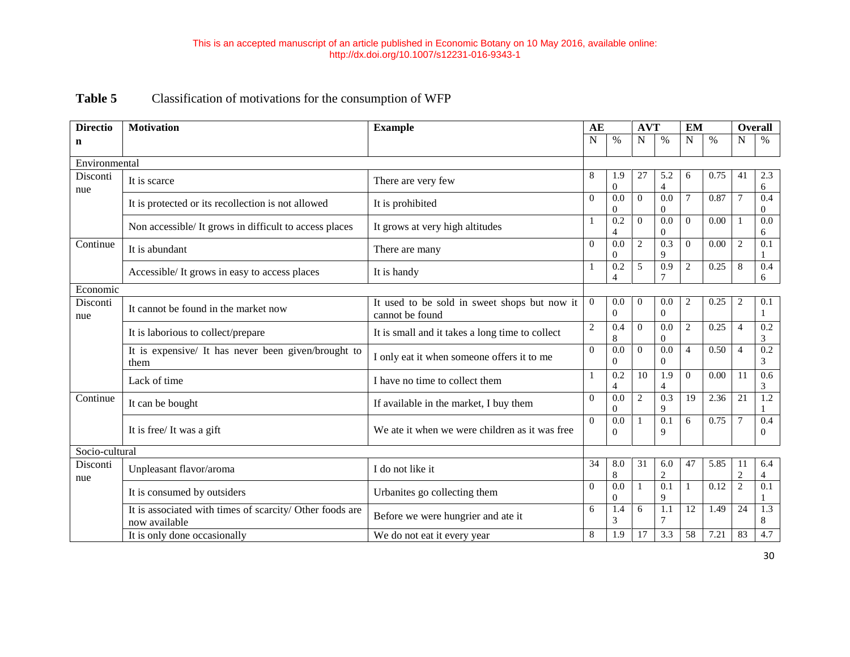# **Table 5** Classification of motivations for the consumption of WFP

| <b>Directio</b> | <b>Motivation</b>                                                         | <b>Example</b>                                                  | AE             |                                    | <b>AVT</b>     |                                    | <b>EM</b>      |      | <b>Overall</b>     |                       |
|-----------------|---------------------------------------------------------------------------|-----------------------------------------------------------------|----------------|------------------------------------|----------------|------------------------------------|----------------|------|--------------------|-----------------------|
| n               |                                                                           |                                                                 | $\overline{N}$ | $\%$                               | N              | $\%$                               | $\mathbf N$    | $\%$ | N                  | $\%$                  |
| Environmental   |                                                                           |                                                                 |                |                                    |                |                                    |                |      |                    |                       |
| Disconti<br>nue | It is scarce                                                              | There are very few                                              | 8              | 1.9<br>$\overline{0}$              | 27             | 5.2<br>$\overline{4}$              | 6              | 0.75 | 41                 | 2.3<br>6              |
|                 | It is protected or its recollection is not allowed                        | It is prohibited                                                | $\Omega$       | 0.0<br>$\mathbf{0}$                | $\Omega$       | 0.0<br>$\mathbf{0}$                | $\tau$         | 0.87 | $\overline{7}$     | 0.4<br>$\overline{0}$ |
|                 | Non accessible/ It grows in difficult to access places                    | It grows at very high altitudes                                 | 1              | 0.2<br>$\overline{4}$              | $\Omega$       | 0.0<br>$\mathbf{0}$                | $\Omega$       | 0.00 | $\mathbf{1}$       | 0.0<br>6              |
| Continue        | It is abundant                                                            | There are many                                                  | $\Omega$       | 0.0<br>$\mathbf{0}$                | $\overline{c}$ | 0.3<br>9                           | $\Omega$       | 0.00 | $\overline{2}$     | 0.1                   |
|                 | Accessible/It grows in easy to access places                              | It is handy                                                     | 1              | $\overline{0.2}$<br>$\overline{4}$ | 5              | $\overline{0.9}$<br>$\overline{7}$ | $\overline{c}$ | 0.25 | 8                  | 0.4<br>6              |
| Economic        |                                                                           |                                                                 |                |                                    |                |                                    |                |      |                    |                       |
| Disconti<br>nue | It cannot be found in the market now                                      | It used to be sold in sweet shops but now it<br>cannot be found | $\overline{0}$ | 0.0<br>$\overline{0}$              | $\overline{0}$ | 0.0<br>$\overline{0}$              | $\overline{c}$ | 0.25 | 2                  | 0.1<br>$\mathbf{1}$   |
|                 | It is laborious to collect/prepare                                        | It is small and it takes a long time to collect                 | $\overline{c}$ | 0.4<br>$\,8\,$                     | $\overline{0}$ | 0.0<br>$\overline{0}$              | $\overline{c}$ | 0.25 | $\overline{4}$     | 0.2<br>$\mathfrak{Z}$ |
|                 | It is expensive/ It has never been given/brought to<br>them               | I only eat it when someone offers it to me                      | $\Omega$       | 0.0<br>$\theta$                    | $\overline{0}$ | 0.0<br>$\Omega$                    | $\overline{4}$ | 0.50 | $\overline{4}$     | 0.2<br>3              |
|                 | Lack of time                                                              | I have no time to collect them                                  | 1              | 0.2<br>$\overline{4}$              | 10             | 1.9<br>$\overline{4}$              | $\Omega$       | 0.00 | 11                 | 0.6<br>3              |
| Continue        | It can be bought                                                          | If available in the market, I buy them                          | $\Omega$       | 0.0<br>$\mathbf{0}$                | $\overline{c}$ | $\overline{0.3}$<br>9              | 19             | 2.36 | $\overline{21}$    | $\overline{1.2}$      |
|                 | It is free/It was a gift                                                  | We ate it when we were children as it was free                  | $\Omega$       | 0.0<br>$\theta$                    | $\mathbf{1}$   | 0.1<br>9                           | 6              | 0.75 | $\overline{7}$     | 0.4<br>$\Omega$       |
| Socio-cultural  |                                                                           |                                                                 |                |                                    |                |                                    |                |      |                    |                       |
| Disconti<br>nue | Unpleasant flavor/aroma                                                   | I do not like it                                                | 34             | 8.0<br>$\,8\,$                     | 31             | 6.0<br>$\overline{c}$              | 47             | 5.85 | 11<br>$\mathbf{2}$ | 6.4<br>$\overline{4}$ |
|                 | It is consumed by outsiders                                               | Urbanites go collecting them                                    | $\Omega$       | 0.0<br>$\mathbf{0}$                |                | 0.1<br>9                           |                | 0.12 | $\overline{2}$     | 0.1                   |
|                 | It is associated with times of scarcity/ Other foods are<br>now available | Before we were hungrier and ate it                              | 6              | 1.4<br>3                           | 6              | $\overline{1.1}$<br>$\overline{7}$ | 12             | 1.49 | $\overline{24}$    | 1.3<br>8              |
|                 | It is only done occasionally                                              | We do not eat it every year                                     | 8              | 1.9                                | 17             | 3.3                                | 58             | 7.21 | 83                 | 4.7                   |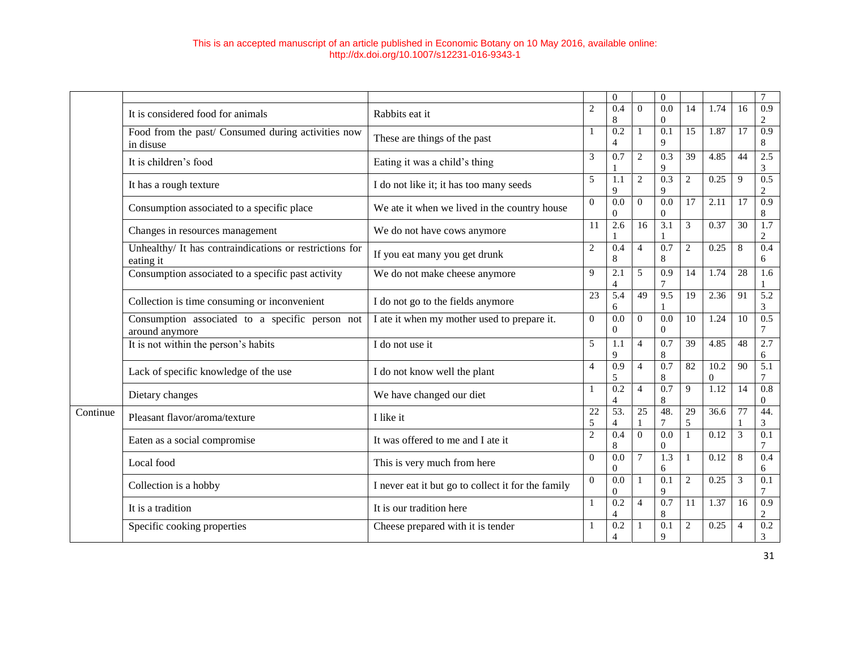|          |                                                                      |                                                    |                | $\overline{0}$                     |                | $\theta$                     |                 |                  |                 | $\overline{7}$                     |
|----------|----------------------------------------------------------------------|----------------------------------------------------|----------------|------------------------------------|----------------|------------------------------|-----------------|------------------|-----------------|------------------------------------|
|          | It is considered food for animals                                    | Rabbits eat it                                     | $\overline{c}$ | 0.4<br>8                           | $\overline{0}$ | 0.0<br>$\theta$              | 14              | 1.74             | 16              | $\overline{0.9}$<br>2              |
|          | Food from the past/ Consumed during activities now<br>in disuse      | These are things of the past                       |                | $\overline{0.2}$<br>$\overline{4}$ | 1              | $\overline{0.1}$<br>9        | 15              | 1.87             | 17              | 0.9<br>8                           |
|          | It is children's food                                                | Eating it was a child's thing                      | 3              | 0.7                                | $\sqrt{2}$     | 0.3<br>9                     | 39              | 4.85             | 44              | 2.5<br>3                           |
|          | It has a rough texture                                               | I do not like it; it has too many seeds            | 5              | 1.1<br>9                           | $\overline{c}$ | 0.3<br>9                     | 2               | 0.25             | 9               | 0.5<br>$\overline{2}$              |
|          | Consumption associated to a specific place                           | We ate it when we lived in the country house       | $\overline{0}$ | 0.0<br>$\mathbf{0}$                | $\Omega$       | 0.0<br>$\overline{0}$        | 17              | 2.11             | $\overline{17}$ | $\overline{0.9}$<br>8              |
|          | Changes in resources management                                      | We do not have cows anymore                        | 11             | 2.6                                | 16             | 3.1                          | 3               | 0.37             | 30              | 1.7<br>$\overline{c}$              |
|          | Unhealthy/ It has contraindications or restrictions for<br>eating it | If you eat many you get drunk                      | $\mathbf{2}$   | 0.4<br>8                           | $\overline{4}$ | 0.7<br>$\,$ 8 $\,$           | $\mathfrak{2}$  | 0.25             | $\,8\,$         | 0.4<br>6                           |
|          | Consumption associated to a specific past activity                   | We do not make cheese anymore                      | 9              | 2.1<br>$\overline{4}$              | 5              | 0.9<br>7                     | 14              | 1.74             | 28              | 1.6                                |
|          | Collection is time consuming or inconvenient                         | I do not go to the fields anymore                  | 23             | $\overline{5.4}$<br>6              | 49             | 9.5                          | 19              | 2.36             | 91              | 5.2<br>3                           |
|          | Consumption associated to a specific person not<br>around anymore    | I ate it when my mother used to prepare it.        |                | $\overline{0.0}$<br>$\Omega$       | $\Omega$       | $\overline{0.0}$<br>$\theta$ | 10              | 1.24             | 10              | 0.5<br>$\overline{7}$              |
|          | It is not within the person's habits                                 | I do not use it                                    | 5              | 1.1<br>9                           | $\overline{4}$ | 0.7<br>8                     | 39              | 4.85             | 48              | 2.7<br>6                           |
|          | Lack of specific knowledge of the use                                | I do not know well the plant                       | 4              | 0.9<br>5                           | $\overline{4}$ | 0.7<br>8                     | $\overline{82}$ | 10.2<br>$\Omega$ | $\overline{90}$ | 5.1<br>7                           |
|          | Dietary changes                                                      | We have changed our diet                           | 1              | 0.2<br>$\overline{4}$              | $\overline{4}$ | 0.7<br>8                     | $\mathbf Q$     | 1.12             | 14              | $\overline{0.8}$<br>$\overline{0}$ |
| Continue | Pleasant flavor/aroma/texture                                        | I like it                                          | 22<br>5        | 53.<br>$\overline{4}$              | 25             | 48.<br>7                     | 29<br>5         | 36.6             | 77              | 44.<br>3                           |
|          | Eaten as a social compromise                                         | It was offered to me and I ate it                  | $\overline{2}$ | 0.4<br>8                           | $\overline{0}$ | $\overline{0.0}$<br>$\theta$ | $\mathbf{1}$    | 0.12             | $\overline{3}$  | $\overline{0.1}$<br>7              |
|          | Local food                                                           | This is very much from here                        | $\Omega$       | 0.0<br>$\mathbf{0}$                | $\overline{7}$ | 1.3<br>6                     | $\mathbf{1}$    | 0.12             | 8               | 0.4<br>6                           |
|          | Collection is a hobby                                                | I never eat it but go to collect it for the family |                | 0.0<br>$\Omega$                    | $\mathbf{1}$   | 0.1<br>9                     | $\overline{2}$  | 0.25             | 3               | 0.1<br>7                           |
|          | It is a tradition                                                    | It is our tradition here                           | 1              | $\overline{0.2}$<br>$\overline{4}$ | $\overline{4}$ | 0.7<br>8                     | 11              | 1.37             | 16              | 0.9<br>$\overline{c}$              |
|          | Specific cooking properties                                          | Cheese prepared with it is tender                  |                | 0.2<br>$\overline{4}$              |                | 0.1<br>9                     | $\mathfrak{2}$  | 0.25             | $\overline{4}$  | $\overline{0.2}$<br>3              |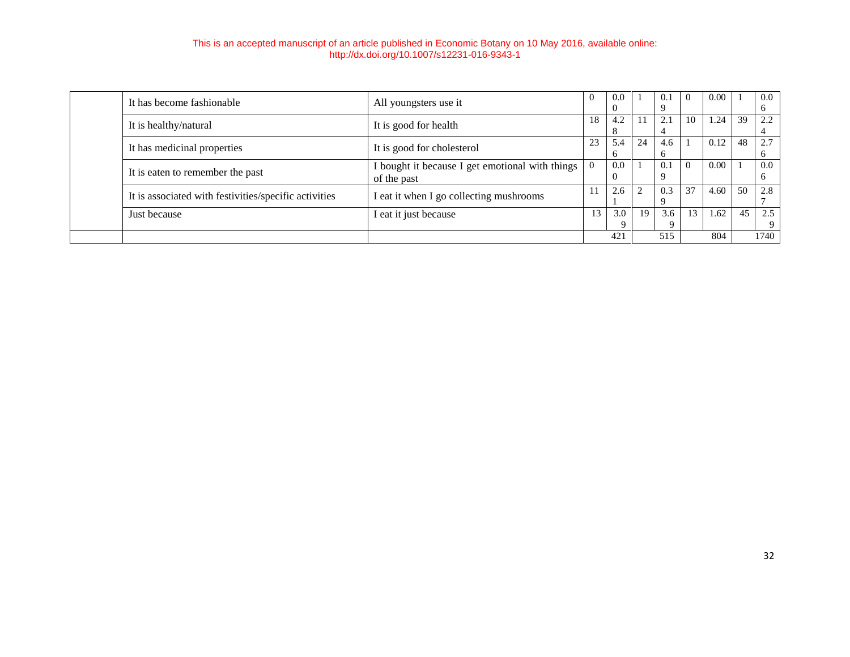|                                                       |                                                                |          | 421                 |    | $\Omega$<br>515 |          | 804  |    | 9<br>1740 |
|-------------------------------------------------------|----------------------------------------------------------------|----------|---------------------|----|-----------------|----------|------|----|-----------|
| Just because                                          | I eat it just because                                          | 13       | 3.0                 | 19 | 3.6             | 13       | 1.62 | 45 | 2.5       |
| It is associated with festivities/specific activities | I eat it when I go collecting mushrooms                        | 11       | 2.6                 |    | 0.3             | 37       | 4.60 | 50 | 2.8       |
| It is eaten to remember the past                      | I bought it because I get emotional with things<br>of the past | $\Omega$ | 0.0<br>U            |    | 0.1             | $\theta$ | 0.00 |    | 0.0       |
| It has medicinal properties                           | It is good for cholesterol                                     | 23       | 5.4<br><sub>n</sub> | 24 | 4.6             |          | 0.12 | 48 | 2.7       |
| It is healthy/natural                                 | It is good for health                                          | 18       | 4.2<br>Ō            |    | 2.1             | 10       | 1.24 | 39 | 2.2       |
| It has become fashionable                             | All youngsters use it                                          |          | -0.0                |    | 0.1             | 0        | 0.00 |    | 0.0       |